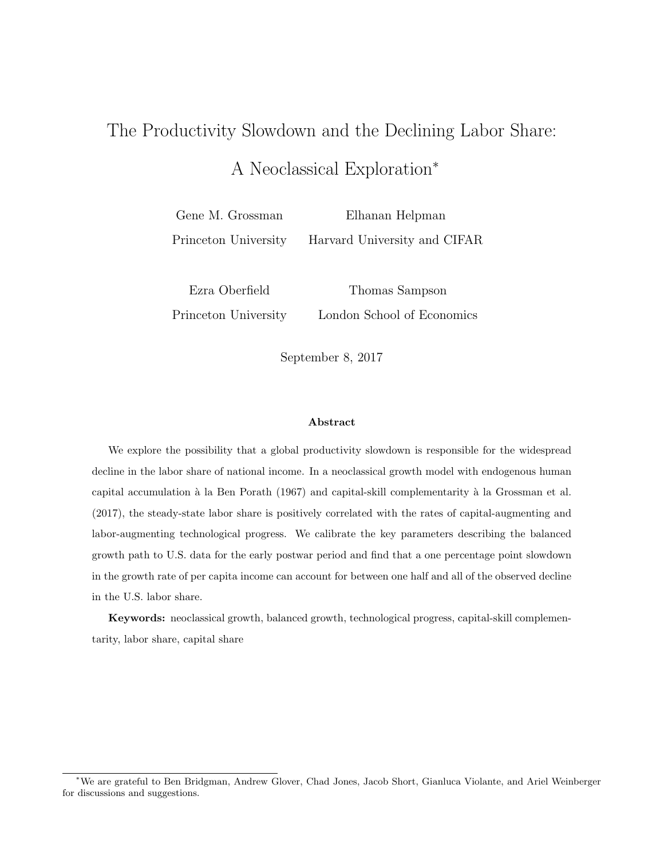# The Productivity Slowdown and the Declining Labor Share: A Neoclassical Exploration<sup>∗</sup>

Gene M. Grossman Princeton University Elhanan Helpman Harvard University and CIFAR

Ezra Oberfield Princeton University Thomas Sampson London School of Economics

September 8, 2017

#### Abstract

We explore the possibility that a global productivity slowdown is responsible for the widespread decline in the labor share of national income. In a neoclassical growth model with endogenous human capital accumulation à la Ben Porath (1967) and capital-skill complementarity à la Grossman et al. (2017), the steady-state labor share is positively correlated with the rates of capital-augmenting and labor-augmenting technological progress. We calibrate the key parameters describing the balanced growth path to U.S. data for the early postwar period and find that a one percentage point slowdown in the growth rate of per capita income can account for between one half and all of the observed decline in the U.S. labor share.

Keywords: neoclassical growth, balanced growth, technological progress, capital-skill complementarity, labor share, capital share

<sup>∗</sup>We are grateful to Ben Bridgman, Andrew Glover, Chad Jones, Jacob Short, Gianluca Violante, and Ariel Weinberger for discussions and suggestions.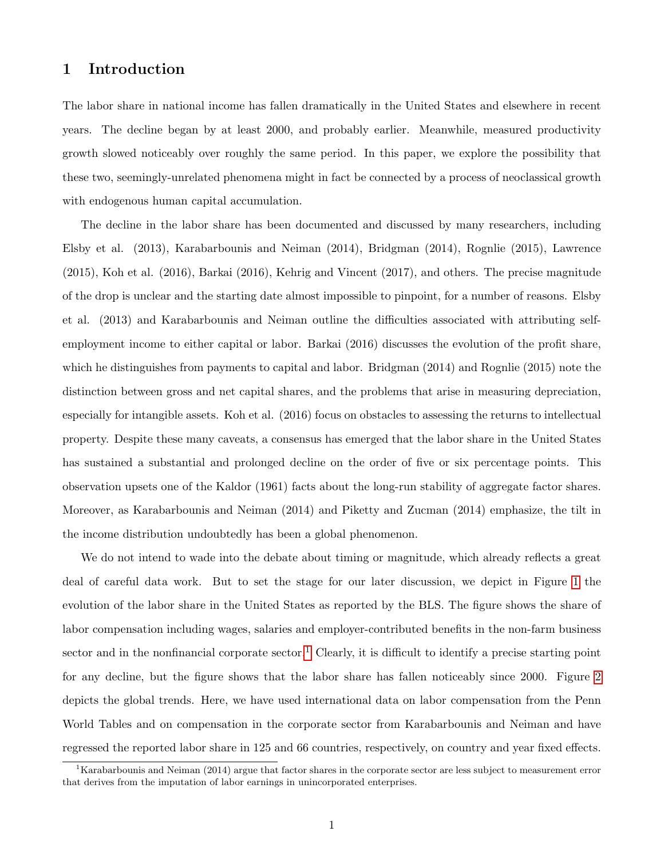## 1 Introduction

The labor share in national income has fallen dramatically in the United States and elsewhere in recent years. The decline began by at least 2000, and probably earlier. Meanwhile, measured productivity growth slowed noticeably over roughly the same period. In this paper, we explore the possibility that these two, seemingly-unrelated phenomena might in fact be connected by a process of neoclassical growth with endogenous human capital accumulation.

The decline in the labor share has been documented and discussed by many researchers, including Elsby et al. (2013), Karabarbounis and Neiman (2014), Bridgman (2014), Rognlie (2015), Lawrence (2015), Koh et al. (2016), Barkai (2016), Kehrig and Vincent (2017), and others. The precise magnitude of the drop is unclear and the starting date almost impossible to pinpoint, for a number of reasons. Elsby et al. (2013) and Karabarbounis and Neiman outline the difficulties associated with attributing selfemployment income to either capital or labor. Barkai (2016) discusses the evolution of the profit share, which he distinguishes from payments to capital and labor. Bridgman (2014) and Rognlie (2015) note the distinction between gross and net capital shares, and the problems that arise in measuring depreciation, especially for intangible assets. Koh et al. (2016) focus on obstacles to assessing the returns to intellectual property. Despite these many caveats, a consensus has emerged that the labor share in the United States has sustained a substantial and prolonged decline on the order of five or six percentage points. This observation upsets one of the Kaldor (1961) facts about the long-run stability of aggregate factor shares. Moreover, as Karabarbounis and Neiman (2014) and Piketty and Zucman (2014) emphasize, the tilt in the income distribution undoubtedly has been a global phenomenon.

We do not intend to wade into the debate about timing or magnitude, which already reflects a great deal of careful data work. But to set the stage for our later discussion, we depict in Figure [1](#page-2-0) the evolution of the labor share in the United States as reported by the BLS. The figure shows the share of labor compensation including wages, salaries and employer-contributed benefits in the non-farm business sector and in the nonfinancial corporate sector.<sup>[1](#page-1-0)</sup> Clearly, it is difficult to identify a precise starting point for any decline, but the figure shows that the labor share has fallen noticeably since 2000. Figure [2](#page-2-1) depicts the global trends. Here, we have used international data on labor compensation from the Penn World Tables and on compensation in the corporate sector from Karabarbounis and Neiman and have regressed the reported labor share in 125 and 66 countries, respectively, on country and year fixed effects.

<span id="page-1-0"></span><sup>&</sup>lt;sup>1</sup>Karabarbounis and Neiman (2014) argue that factor shares in the corporate sector are less subject to measurement error that derives from the imputation of labor earnings in unincorporated enterprises.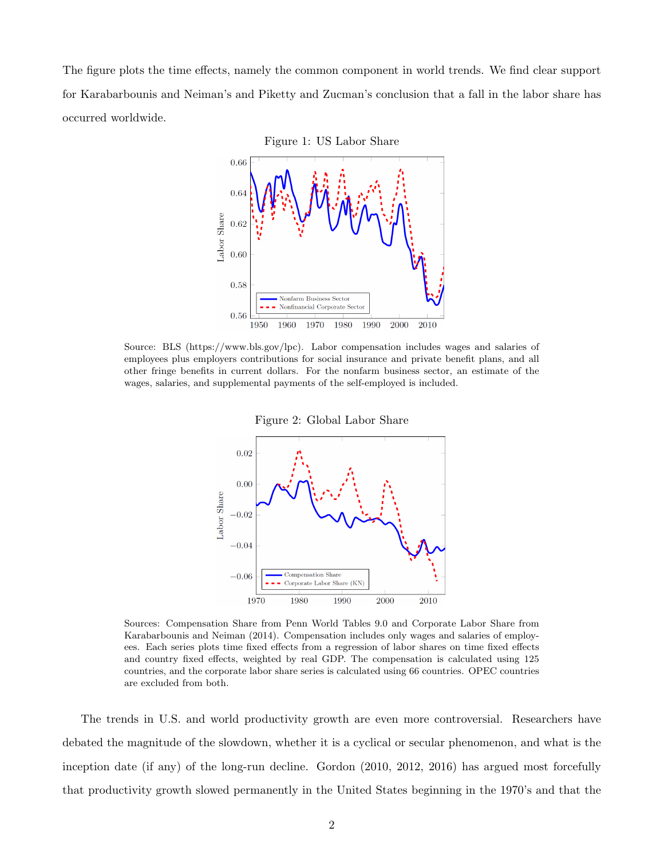<span id="page-2-0"></span>The figure plots the time effects, namely the common component in world trends. We find clear support for Karabarbounis and Neiman's and Piketty and Zucman's conclusion that a fall in the labor share has occurred worldwide.



<span id="page-2-1"></span>Source: BLS (https://www.bls.gov/lpc). Labor compensation includes wages and salaries of employees plus employers contributions for social insurance and private benefit plans, and all other fringe benefits in current dollars. For the nonfarm business sector, an estimate of the wages, salaries, and supplemental payments of the self-employed is included.



Sources: Compensation Share from Penn World Tables 9.0 and Corporate Labor Share from Karabarbounis and Neiman (2014). Compensation includes only wages and salaries of employees. Each series plots time fixed effects from a regression of labor shares on time fixed effects and country fixed effects, weighted by real GDP. The compensation is calculated using 125 countries, and the corporate labor share series is calculated using 66 countries. OPEC countries are excluded from both.

The trends in U.S. and world productivity growth are even more controversial. Researchers have debated the magnitude of the slowdown, whether it is a cyclical or secular phenomenon, and what is the inception date (if any) of the long-run decline. Gordon (2010, 2012, 2016) has argued most forcefully that productivity growth slowed permanently in the United States beginning in the 1970's and that the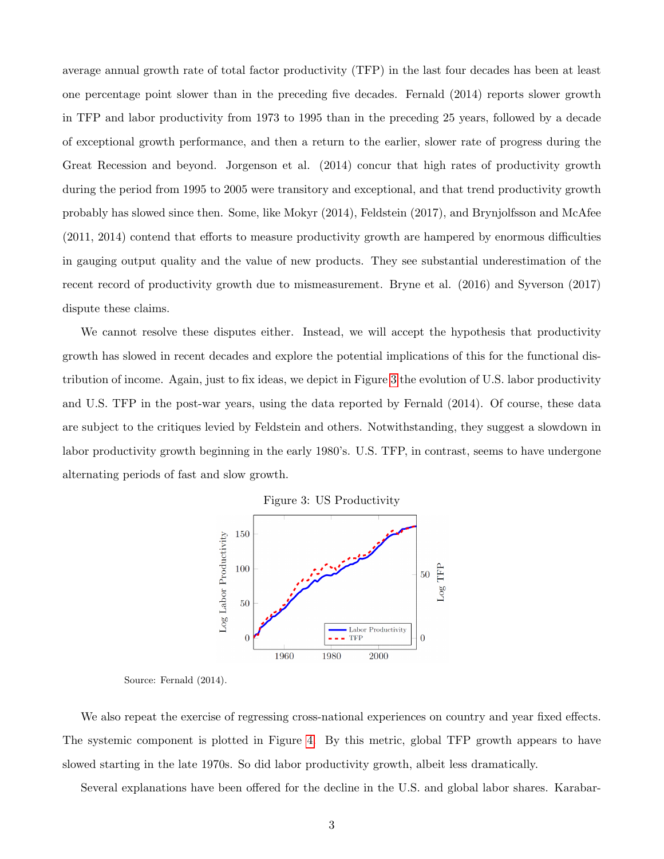average annual growth rate of total factor productivity (TFP) in the last four decades has been at least one percentage point slower than in the preceding five decades. Fernald (2014) reports slower growth in TFP and labor productivity from 1973 to 1995 than in the preceding 25 years, followed by a decade of exceptional growth performance, and then a return to the earlier, slower rate of progress during the Great Recession and beyond. Jorgenson et al. (2014) concur that high rates of productivity growth during the period from 1995 to 2005 were transitory and exceptional, and that trend productivity growth probably has slowed since then. Some, like Mokyr (2014), Feldstein (2017), and Brynjolfsson and McAfee (2011, 2014) contend that efforts to measure productivity growth are hampered by enormous difficulties in gauging output quality and the value of new products. They see substantial underestimation of the recent record of productivity growth due to mismeasurement. Bryne et al. (2016) and Syverson (2017) dispute these claims.

We cannot resolve these disputes either. Instead, we will accept the hypothesis that productivity growth has slowed in recent decades and explore the potential implications of this for the functional distribution of income. Again, just to fix ideas, we depict in Figure [3](#page-3-0) the evolution of U.S. labor productivity and U.S. TFP in the post-war years, using the data reported by Fernald (2014). Of course, these data are subject to the critiques levied by Feldstein and others. Notwithstanding, they suggest a slowdown in labor productivity growth beginning in the early 1980's. U.S. TFP, in contrast, seems to have undergone alternating periods of fast and slow growth.



<span id="page-3-0"></span>

Source: Fernald (2014).

We also repeat the exercise of regressing cross-national experiences on country and year fixed effects. The systemic component is plotted in Figure [4.](#page-4-0) By this metric, global TFP growth appears to have slowed starting in the late 1970s. So did labor productivity growth, albeit less dramatically.

Several explanations have been offered for the decline in the U.S. and global labor shares. Karabar-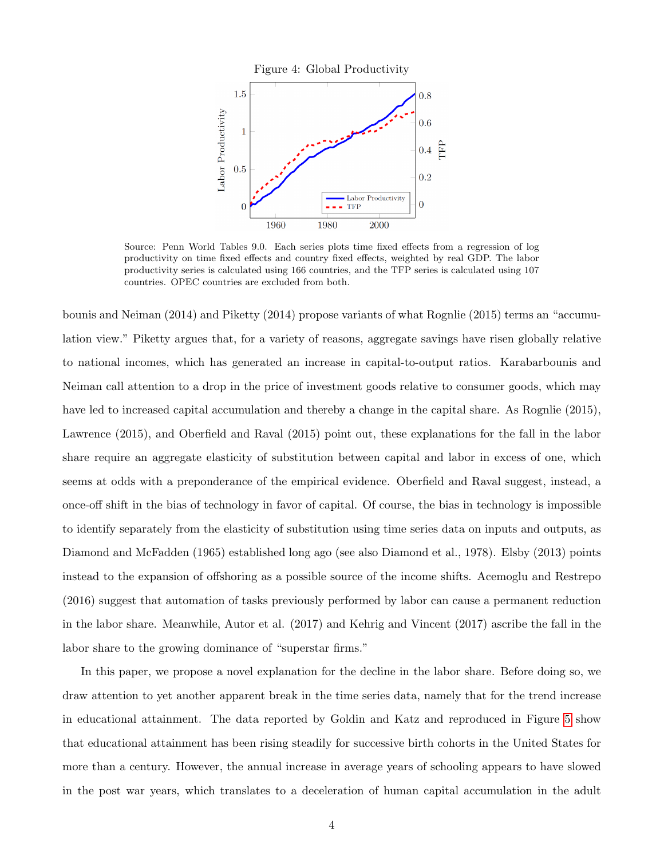<span id="page-4-0"></span>

Source: Penn World Tables 9.0. Each series plots time fixed effects from a regression of log productivity on time fixed effects and country fixed effects, weighted by real GDP. The labor productivity series is calculated using 166 countries, and the TFP series is calculated using 107 countries. OPEC countries are excluded from both.

bounis and Neiman (2014) and Piketty (2014) propose variants of what Rognlie (2015) terms an "accumulation view." Piketty argues that, for a variety of reasons, aggregate savings have risen globally relative to national incomes, which has generated an increase in capital-to-output ratios. Karabarbounis and Neiman call attention to a drop in the price of investment goods relative to consumer goods, which may have led to increased capital accumulation and thereby a change in the capital share. As Rognlie (2015), Lawrence (2015), and Oberfield and Raval (2015) point out, these explanations for the fall in the labor share require an aggregate elasticity of substitution between capital and labor in excess of one, which seems at odds with a preponderance of the empirical evidence. Oberfield and Raval suggest, instead, a once-off shift in the bias of technology in favor of capital. Of course, the bias in technology is impossible to identify separately from the elasticity of substitution using time series data on inputs and outputs, as Diamond and McFadden (1965) established long ago (see also Diamond et al., 1978). Elsby (2013) points instead to the expansion of offshoring as a possible source of the income shifts. Acemoglu and Restrepo (2016) suggest that automation of tasks previously performed by labor can cause a permanent reduction in the labor share. Meanwhile, Autor et al. (2017) and Kehrig and Vincent (2017) ascribe the fall in the labor share to the growing dominance of "superstar firms."

In this paper, we propose a novel explanation for the decline in the labor share. Before doing so, we draw attention to yet another apparent break in the time series data, namely that for the trend increase in educational attainment. The data reported by Goldin and Katz and reproduced in Figure [5](#page-5-0) show that educational attainment has been rising steadily for successive birth cohorts in the United States for more than a century. However, the annual increase in average years of schooling appears to have slowed in the post war years, which translates to a deceleration of human capital accumulation in the adult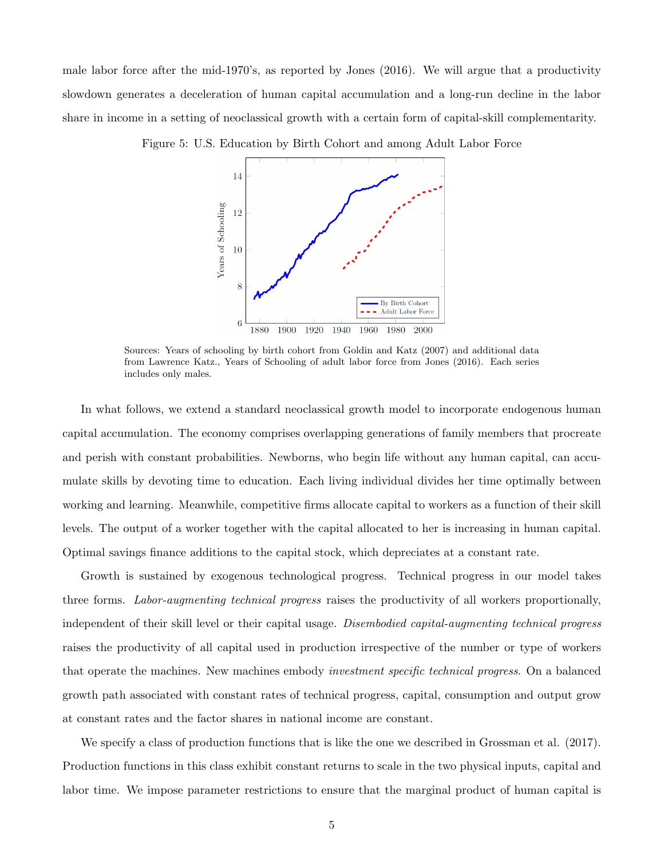<span id="page-5-0"></span>male labor force after the mid-1970's, as reported by Jones (2016). We will argue that a productivity slowdown generates a deceleration of human capital accumulation and a long-run decline in the labor share in income in a setting of neoclassical growth with a certain form of capital-skill complementarity.

Figure 5: U.S. Education by Birth Cohort and among Adult Labor Force



Sources: Years of schooling by birth cohort from Goldin and Katz (2007) and additional data from Lawrence Katz., Years of Schooling of adult labor force from Jones (2016). Each series includes only males.

In what follows, we extend a standard neoclassical growth model to incorporate endogenous human capital accumulation. The economy comprises overlapping generations of family members that procreate and perish with constant probabilities. Newborns, who begin life without any human capital, can accumulate skills by devoting time to education. Each living individual divides her time optimally between working and learning. Meanwhile, competitive firms allocate capital to workers as a function of their skill levels. The output of a worker together with the capital allocated to her is increasing in human capital. Optimal savings finance additions to the capital stock, which depreciates at a constant rate.

Growth is sustained by exogenous technological progress. Technical progress in our model takes three forms. Labor-augmenting technical progress raises the productivity of all workers proportionally, independent of their skill level or their capital usage. Disembodied capital-augmenting technical progress raises the productivity of all capital used in production irrespective of the number or type of workers that operate the machines. New machines embody investment specific technical progress. On a balanced growth path associated with constant rates of technical progress, capital, consumption and output grow at constant rates and the factor shares in national income are constant.

We specify a class of production functions that is like the one we described in Grossman et al. (2017). Production functions in this class exhibit constant returns to scale in the two physical inputs, capital and labor time. We impose parameter restrictions to ensure that the marginal product of human capital is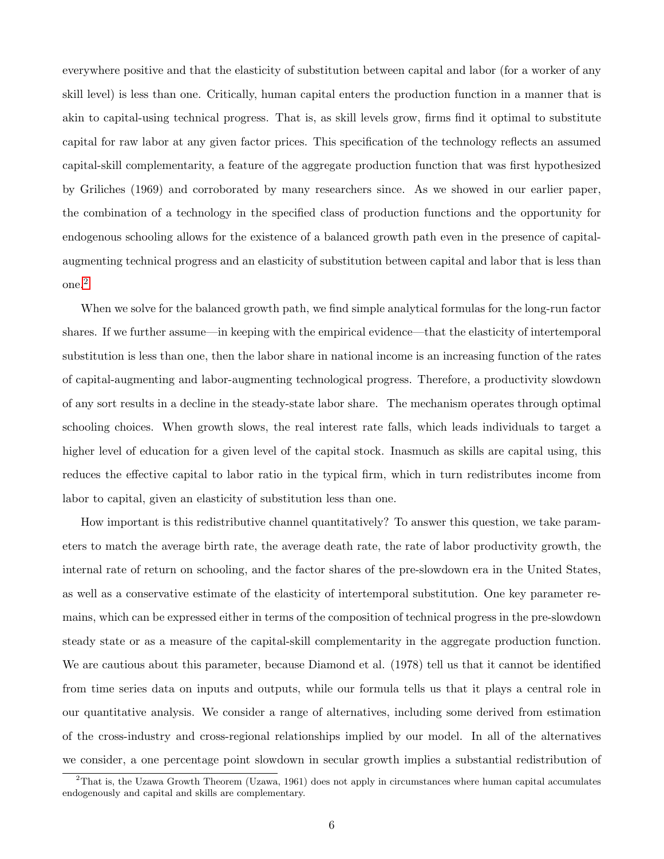everywhere positive and that the elasticity of substitution between capital and labor (for a worker of any skill level) is less than one. Critically, human capital enters the production function in a manner that is akin to capital-using technical progress. That is, as skill levels grow, firms find it optimal to substitute capital for raw labor at any given factor prices. This specification of the technology reflects an assumed capital-skill complementarity, a feature of the aggregate production function that was first hypothesized by Griliches (1969) and corroborated by many researchers since. As we showed in our earlier paper, the combination of a technology in the specified class of production functions and the opportunity for endogenous schooling allows for the existence of a balanced growth path even in the presence of capitalaugmenting technical progress and an elasticity of substitution between capital and labor that is less than one.[2](#page-6-0)

When we solve for the balanced growth path, we find simple analytical formulas for the long-run factor shares. If we further assume—in keeping with the empirical evidence—that the elasticity of intertemporal substitution is less than one, then the labor share in national income is an increasing function of the rates of capital-augmenting and labor-augmenting technological progress. Therefore, a productivity slowdown of any sort results in a decline in the steady-state labor share. The mechanism operates through optimal schooling choices. When growth slows, the real interest rate falls, which leads individuals to target a higher level of education for a given level of the capital stock. Inasmuch as skills are capital using, this reduces the effective capital to labor ratio in the typical firm, which in turn redistributes income from labor to capital, given an elasticity of substitution less than one.

How important is this redistributive channel quantitatively? To answer this question, we take parameters to match the average birth rate, the average death rate, the rate of labor productivity growth, the internal rate of return on schooling, and the factor shares of the pre-slowdown era in the United States, as well as a conservative estimate of the elasticity of intertemporal substitution. One key parameter remains, which can be expressed either in terms of the composition of technical progress in the pre-slowdown steady state or as a measure of the capital-skill complementarity in the aggregate production function. We are cautious about this parameter, because Diamond et al. (1978) tell us that it cannot be identified from time series data on inputs and outputs, while our formula tells us that it plays a central role in our quantitative analysis. We consider a range of alternatives, including some derived from estimation of the cross-industry and cross-regional relationships implied by our model. In all of the alternatives we consider, a one percentage point slowdown in secular growth implies a substantial redistribution of

<span id="page-6-0"></span> $2$ That is, the Uzawa Growth Theorem (Uzawa, 1961) does not apply in circumstances where human capital accumulates endogenously and capital and skills are complementary.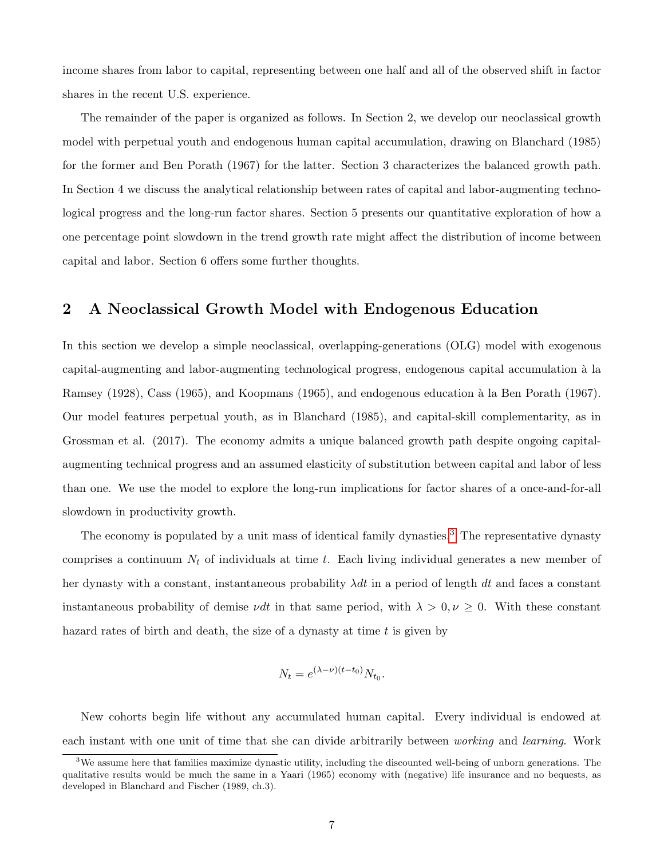income shares from labor to capital, representing between one half and all of the observed shift in factor shares in the recent U.S. experience.

The remainder of the paper is organized as follows. In Section 2, we develop our neoclassical growth model with perpetual youth and endogenous human capital accumulation, drawing on Blanchard (1985) for the former and Ben Porath (1967) for the latter. Section 3 characterizes the balanced growth path. In Section 4 we discuss the analytical relationship between rates of capital and labor-augmenting technological progress and the long-run factor shares. Section 5 presents our quantitative exploration of how a one percentage point slowdown in the trend growth rate might affect the distribution of income between capital and labor. Section 6 offers some further thoughts.

# 2 A Neoclassical Growth Model with Endogenous Education

In this section we develop a simple neoclassical, overlapping-generations (OLG) model with exogenous capital-augmenting and labor-augmenting technological progress, endogenous capital accumulation `a la Ramsey (1928), Cass (1965), and Koopmans (1965), and endogenous education à la Ben Porath (1967). Our model features perpetual youth, as in Blanchard (1985), and capital-skill complementarity, as in Grossman et al. (2017). The economy admits a unique balanced growth path despite ongoing capitalaugmenting technical progress and an assumed elasticity of substitution between capital and labor of less than one. We use the model to explore the long-run implications for factor shares of a once-and-for-all slowdown in productivity growth.

The economy is populated by a unit mass of identical family dynasties.<sup>[3](#page-7-0)</sup> The representative dynasty comprises a continuum  $N_t$  of individuals at time t. Each living individual generates a new member of her dynasty with a constant, instantaneous probability  $\lambda dt$  in a period of length dt and faces a constant instantaneous probability of demise *vdt* in that same period, with  $\lambda > 0, \nu \geq 0$ . With these constant hazard rates of birth and death, the size of a dynasty at time t is given by

$$
N_t = e^{(\lambda - \nu)(t - t_0)} N_{t_0}.
$$

New cohorts begin life without any accumulated human capital. Every individual is endowed at each instant with one unit of time that she can divide arbitrarily between working and learning. Work

<span id="page-7-0"></span> $3$ We assume here that families maximize dynastic utility, including the discounted well-being of unborn generations. The qualitative results would be much the same in a Yaari (1965) economy with (negative) life insurance and no bequests, as developed in Blanchard and Fischer (1989, ch.3).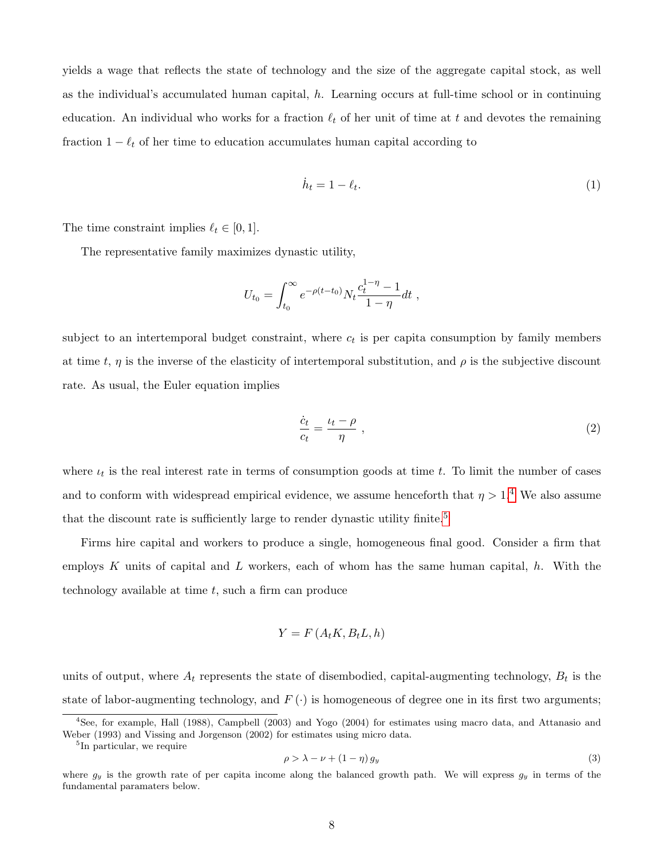yields a wage that reflects the state of technology and the size of the aggregate capital stock, as well as the individual's accumulated human capital, h. Learning occurs at full-time school or in continuing education. An individual who works for a fraction  $\ell_t$  of her unit of time at t and devotes the remaining fraction  $1 - \ell_t$  of her time to education accumulates human capital according to

<span id="page-8-4"></span>
$$
\dot{h}_t = 1 - \ell_t. \tag{1}
$$

The time constraint implies  $\ell_t \in [0, 1].$ 

The representative family maximizes dynastic utility,

$$
U_{t_0} = \int_{t_0}^{\infty} e^{-\rho(t-t_0)} N_t \frac{c_t^{1-\eta} - 1}{1-\eta} dt ,
$$

subject to an intertemporal budget constraint, where  $c_t$  is per capita consumption by family members at time t,  $\eta$  is the inverse of the elasticity of intertemporal substitution, and  $\rho$  is the subjective discount rate. As usual, the Euler equation implies

<span id="page-8-3"></span>
$$
\frac{\dot{c}_t}{c_t} = \frac{\iota_t - \rho}{\eta} \tag{2}
$$

where  $\iota_t$  is the real interest rate in terms of consumption goods at time t. To limit the number of cases and to conform with widespread empirical evidence, we assume henceforth that  $\eta > 1.4$  $\eta > 1.4$  We also assume that the discount rate is sufficiently large to render dynastic utility finite.<sup>[5](#page-8-1)</sup>

Firms hire capital and workers to produce a single, homogeneous final good. Consider a firm that employs K units of capital and L workers, each of whom has the same human capital,  $h$ . With the technology available at time  $t$ , such a firm can produce

$$
Y = F(A_t K, B_t L, h)
$$

units of output, where  $A_t$  represents the state of disembodied, capital-augmenting technology,  $B_t$  is the state of labor-augmenting technology, and  $F(\cdot)$  is homogeneous of degree one in its first two arguments;

<span id="page-8-2"></span>
$$
\rho > \lambda - \nu + (1 - \eta) \, g_y \tag{3}
$$

<span id="page-8-0"></span><sup>4</sup>See, for example, Hall (1988), Campbell (2003) and Yogo (2004) for estimates using macro data, and Attanasio and Weber (1993) and Vissing and Jorgenson (2002) for estimates using micro data.

<span id="page-8-1"></span><sup>5</sup> In particular, we require

where  $g_y$  is the growth rate of per capita income along the balanced growth path. We will express  $g_y$  in terms of the fundamental paramaters below.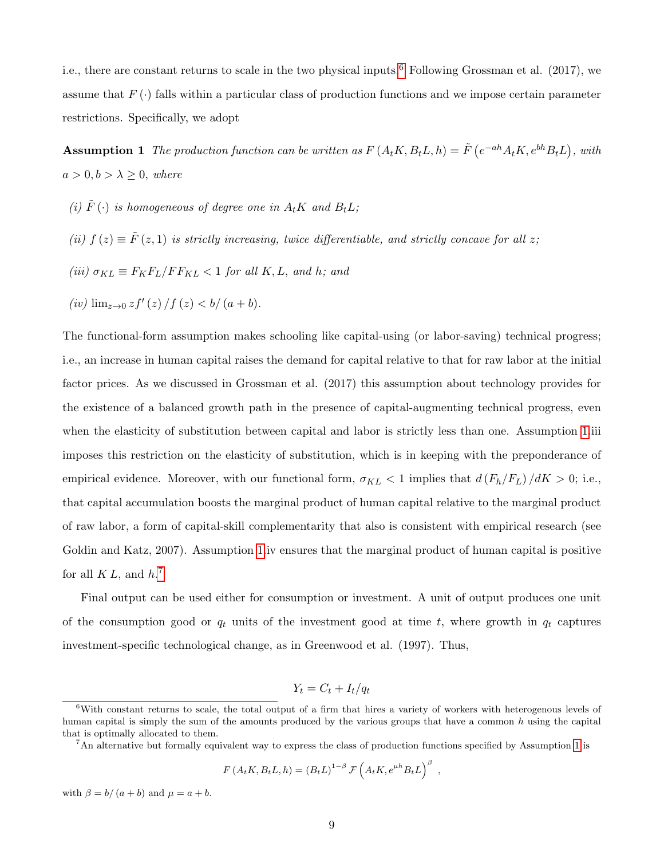i.e., there are constant returns to scale in the two physical inputs.<sup>[6](#page-9-0)</sup> Following Grossman et al. (2017), we assume that  $F(\cdot)$  falls within a particular class of production functions and we impose certain parameter restrictions. Specifically, we adopt

<span id="page-9-1"></span>**Assumption 1** The production function can be written as  $F(A_tK, B_tL, h) = \tilde{F}(e^{-ah}A_tK, e^{bh}B_tL)$ , with  $a > 0, b > \lambda \geq 0$ , where

- (i)  $\tilde{F}(\cdot)$  is homogeneous of degree one in  $A_t K$  and  $B_t L$ ;
- (ii)  $f(z) \equiv \tilde{F}(z,1)$  is strictly increasing, twice differentiable, and strictly concave for all z;
- (iii)  $\sigma_{KL} \equiv F_K F_L / F F_{KL} < 1$  for all K, L, and h; and

(*iv*) 
$$
\lim_{z \to 0} z f'(z) / f(z) < b/(a+b)
$$
.

The functional-form assumption makes schooling like capital-using (or labor-saving) technical progress; i.e., an increase in human capital raises the demand for capital relative to that for raw labor at the initial factor prices. As we discussed in Grossman et al. (2017) this assumption about technology provides for the existence of a balanced growth path in the presence of capital-augmenting technical progress, even when the elasticity of substitution between capital and labor is strictly less than one. Assumption [1.](#page-9-1)iii imposes this restriction on the elasticity of substitution, which is in keeping with the preponderance of empirical evidence. Moreover, with our functional form,  $\sigma_{KL} < 1$  implies that  $d(F_h/F_L) / dK > 0$ ; i.e., that capital accumulation boosts the marginal product of human capital relative to the marginal product of raw labor, a form of capital-skill complementarity that also is consistent with empirical research (see Goldin and Katz, 2007). Assumption [1.](#page-9-1)iv ensures that the marginal product of human capital is positive for all  $KL$ , and  $h$ .<sup>[7](#page-9-2)</sup>

Final output can be used either for consumption or investment. A unit of output produces one unit of the consumption good or  $q_t$  units of the investment good at time t, where growth in  $q_t$  captures investment-specific technological change, as in Greenwood et al. (1997). Thus,

$$
Y_t = C_t + I_t/q_t
$$

$$
F(A_tK, B_tL, h) = (B_tL)^{1-\beta} \mathcal{F}\left(A_tK, e^{\mu h}B_tL\right)^{\beta} ,
$$

with  $\beta = b/(a + b)$  and  $\mu = a + b$ .

<span id="page-9-0"></span> $6$ With constant returns to scale, the total output of a firm that hires a variety of workers with heterogenous levels of human capital is simply the sum of the amounts produced by the various groups that have a common h using the capital that is optimally allocated to them.

<span id="page-9-2"></span><sup>&</sup>lt;sup>7</sup>An alternative but formally equivalent way to express the class of production functions specified by Assumption [1](#page-9-1) is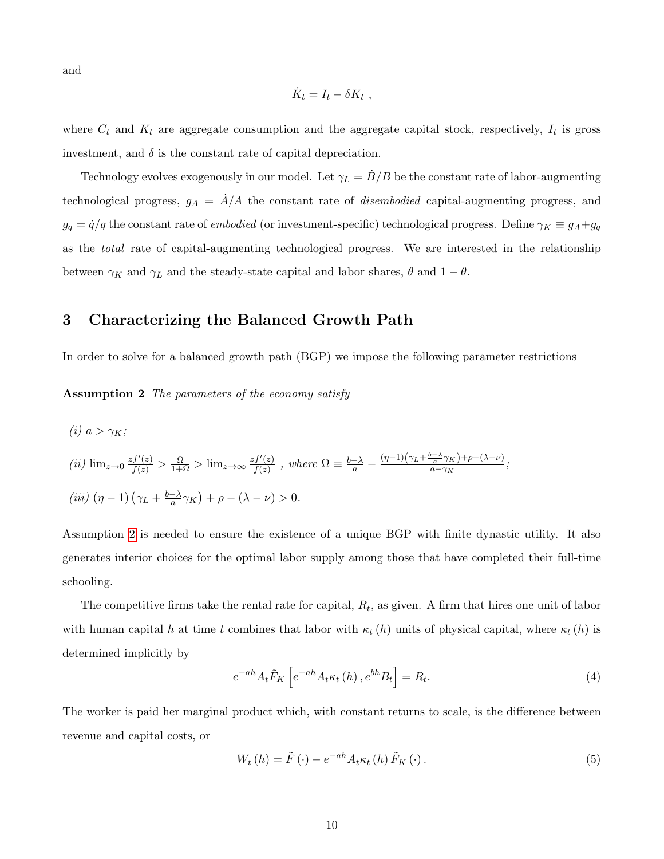and

$$
\dot{K}_t = I_t - \delta K_t ,
$$

where  $C_t$  and  $K_t$  are aggregate consumption and the aggregate capital stock, respectively,  $I_t$  is gross investment, and  $\delta$  is the constant rate of capital depreciation.

Technology evolves exogenously in our model. Let  $\gamma_L = B/B$  be the constant rate of labor-augmenting technological progress,  $g_A = \dot{A}/A$  the constant rate of *disembodied* capital-augmenting progress, and  $g_q = \dot{q}/q$  the constant rate of *embodied* (or investment-specific) technological progress. Define  $\gamma_K \equiv g_A + g_q$ as the total rate of capital-augmenting technological progress. We are interested in the relationship between  $\gamma_K$  and  $\gamma_L$  and the steady-state capital and labor shares,  $\theta$  and  $1 - \theta$ .

#### <span id="page-10-3"></span>3 Characterizing the Balanced Growth Path

<span id="page-10-0"></span>In order to solve for a balanced growth path (BGP) we impose the following parameter restrictions

Assumption 2 The parameters of the economy satisfy

(i) 
$$
a > \gamma_K
$$
;  
\n(ii)  $\lim_{z \to 0} \frac{zf'(z)}{f(z)} > \frac{\Omega}{1+\Omega} > \lim_{z \to \infty} \frac{zf'(z)}{f(z)}$ , where  $\Omega \equiv \frac{b-\lambda}{a} - \frac{(\eta-1)(\gamma_L + \frac{b-\lambda}{a}\gamma_K) + \rho - (\lambda - \nu)}{a - \gamma_K}$ ;  
\n(iii)  $(\eta - 1)(\gamma_L + \frac{b-\lambda}{a}\gamma_K) + \rho - (\lambda - \nu) > 0$ .

Assumption [2](#page-10-0) is needed to ensure the existence of a unique BGP with finite dynastic utility. It also generates interior choices for the optimal labor supply among those that have completed their full-time schooling.

The competitive firms take the rental rate for capital,  $R_t$ , as given. A firm that hires one unit of labor with human capital h at time t combines that labor with  $\kappa_t(h)$  units of physical capital, where  $\kappa_t(h)$  is determined implicitly by

<span id="page-10-1"></span>
$$
e^{-ah}A_t\tilde{F}_K\left[e^{-ah}A_t\kappa_t\left(h\right),e^{bh}B_t\right] = R_t.
$$
\n<sup>(4)</sup>

The worker is paid her marginal product which, with constant returns to scale, is the difference between revenue and capital costs, or

<span id="page-10-2"></span>
$$
W_t(h) = \tilde{F}(\cdot) - e^{-ah} A_t \kappa_t(h) \tilde{F}_K(\cdot).
$$
\n<sup>(5)</sup>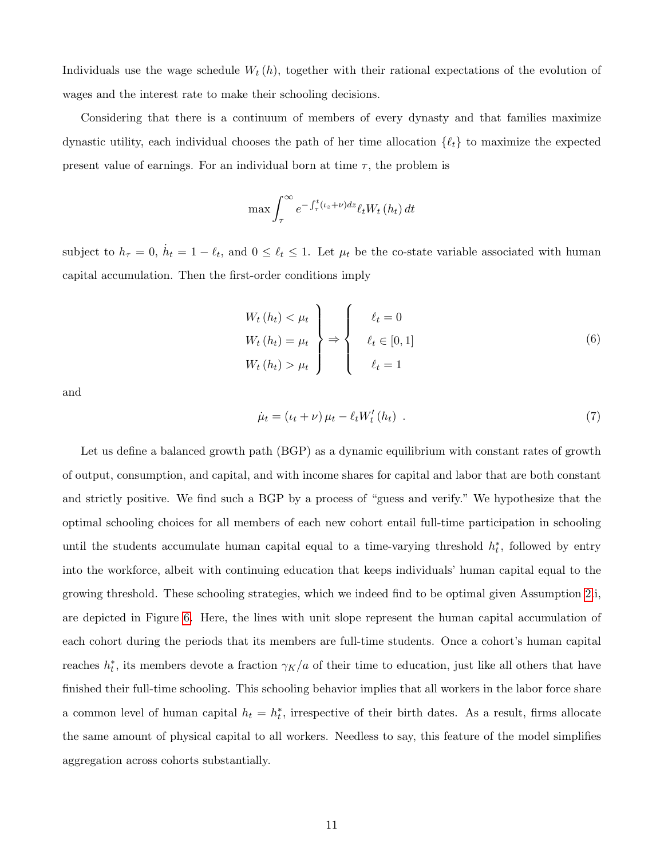Individuals use the wage schedule  $W_t(h)$ , together with their rational expectations of the evolution of wages and the interest rate to make their schooling decisions.

Considering that there is a continuum of members of every dynasty and that families maximize dynastic utility, each individual chooses the path of her time allocation  $\{\ell_t\}$  to maximize the expected present value of earnings. For an individual born at time  $\tau$ , the problem is

$$
\max \int_{\tau}^{\infty} e^{-\int_{\tau}^{t} (t_{z} + \nu) dz} \ell_{t} W_{t} \left( h_{t} \right) dt
$$

subject to  $h_{\tau} = 0$ ,  $\dot{h}_t = 1 - \ell_t$ , and  $0 \leq \ell_t \leq 1$ . Let  $\mu_t$  be the co-state variable associated with human capital accumulation. Then the first-order conditions imply

<span id="page-11-0"></span>
$$
W_t(h_t) < \mu_t
$$
\n
$$
W_t(h_t) = \mu_t
$$
\n
$$
W_t(h_t) > \mu_t
$$
\n
$$
\ell_t \in [0, 1]
$$
\n
$$
\ell_t = 1
$$
\n
$$
(6)
$$

and

<span id="page-11-1"></span>
$$
\dot{\mu}_t = (\iota_t + \nu) \mu_t - \ell_t W'_t(h_t) \tag{7}
$$

Let us define a balanced growth path (BGP) as a dynamic equilibrium with constant rates of growth of output, consumption, and capital, and with income shares for capital and labor that are both constant and strictly positive. We find such a BGP by a process of "guess and verify." We hypothesize that the optimal schooling choices for all members of each new cohort entail full-time participation in schooling until the students accumulate human capital equal to a time-varying threshold  $h_t^*$ , followed by entry into the workforce, albeit with continuing education that keeps individuals' human capital equal to the growing threshold. These schooling strategies, which we indeed find to be optimal given Assumption [2.](#page-10-0)i, are depicted in Figure [6.](#page-12-0) Here, the lines with unit slope represent the human capital accumulation of each cohort during the periods that its members are full-time students. Once a cohort's human capital reaches  $h_t^*$ , its members devote a fraction  $\gamma_K/a$  of their time to education, just like all others that have finished their full-time schooling. This schooling behavior implies that all workers in the labor force share a common level of human capital  $h_t = h_t^*$ , irrespective of their birth dates. As a result, firms allocate the same amount of physical capital to all workers. Needless to say, this feature of the model simplifies aggregation across cohorts substantially.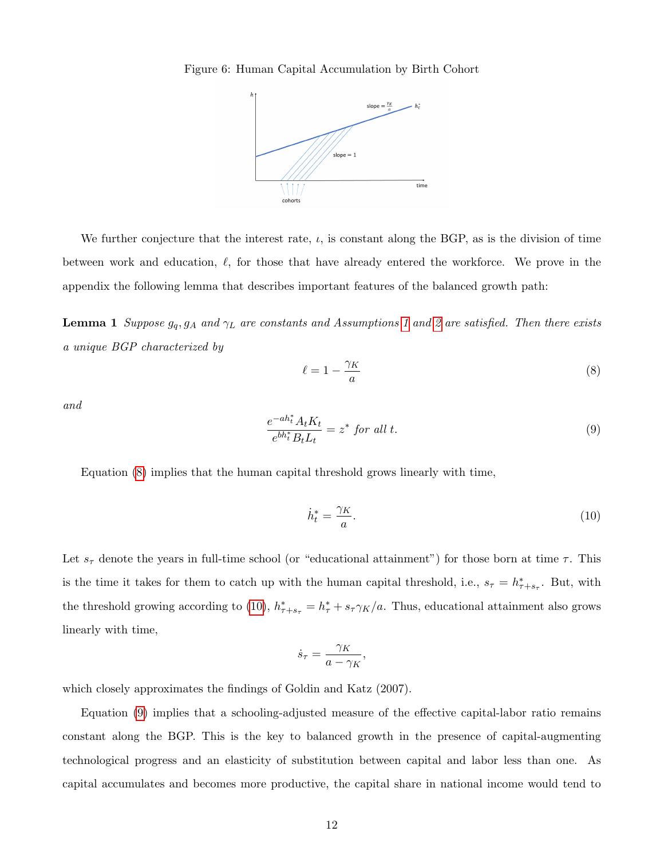

<span id="page-12-0"></span>We further conjecture that the interest rate,  $\iota$ , is constant along the BGP, as is the division of time between work and education,  $\ell$ , for those that have already entered the workforce. We prove in the appendix the following lemma that describes important features of the balanced growth path:

<span id="page-12-4"></span>**Lemma [1](#page-9-1)** Suppose  $g_q$ ,  $g_A$  and  $\gamma_L$  are constants and Assumptions 1 and [2](#page-10-0) are satisfied. Then there exists a unique BGP characterized by

<span id="page-12-1"></span>
$$
\ell = 1 - \frac{\gamma_K}{a} \tag{8}
$$

and

<span id="page-12-3"></span>
$$
\frac{e^{-ah_t^*}A_tK_t}{e^{bh_t^*}B_tL_t} = z^* \text{ for all } t. \tag{9}
$$

Equation [\(8\)](#page-12-1) implies that the human capital threshold grows linearly with time,

<span id="page-12-2"></span>
$$
\dot{h}_t^* = \frac{\gamma_K}{a}.\tag{10}
$$

Let  $s_{\tau}$  denote the years in full-time school (or "educational attainment") for those born at time  $\tau$ . This is the time it takes for them to catch up with the human capital threshold, i.e.,  $s_\tau = h^*_{\tau+s_\tau}$ . But, with the threshold growing according to [\(10\)](#page-12-2),  $h_{\tau+s_{\tau}}^* = h_{\tau}^* + s_{\tau} \gamma_K/a$ . Thus, educational attainment also grows linearly with time,

$$
\dot{s}_{\tau} = \frac{\gamma_K}{a - \gamma_K},
$$

which closely approximates the findings of Goldin and Katz (2007).

Equation [\(9\)](#page-12-3) implies that a schooling-adjusted measure of the effective capital-labor ratio remains constant along the BGP. This is the key to balanced growth in the presence of capital-augmenting technological progress and an elasticity of substitution between capital and labor less than one. As capital accumulates and becomes more productive, the capital share in national income would tend to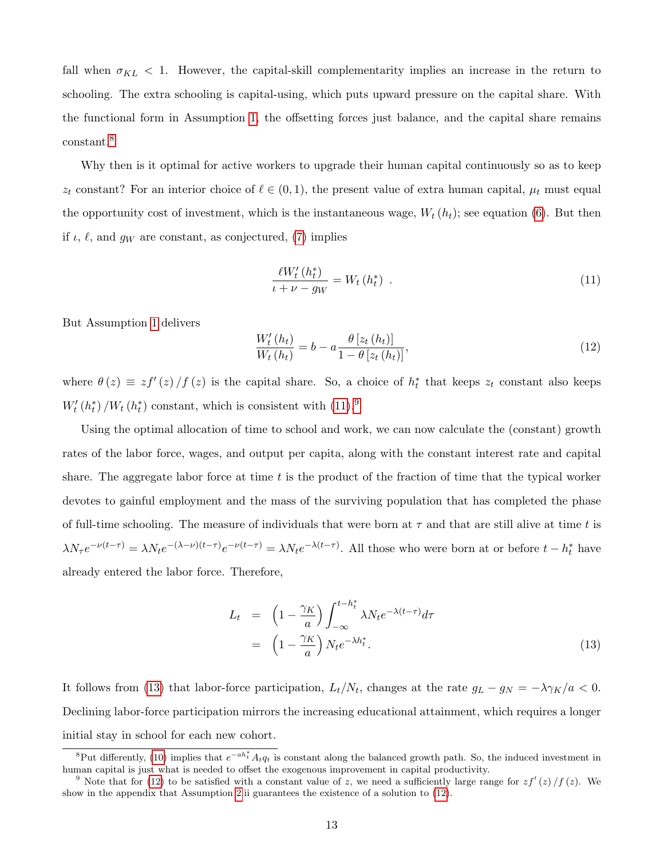fall when  $\sigma_{KL}$  < 1. However, the capital-skill complementarity implies an increase in the return to schooling. The extra schooling is capital-using, which puts upward pressure on the capital share. With the functional form in Assumption [1,](#page-9-1) the offsetting forces just balance, and the capital share remains constant.[8](#page-13-0)

Why then is it optimal for active workers to upgrade their human capital continuously so as to keep  $z_t$  constant? For an interior choice of  $\ell \in (0, 1)$ , the present value of extra human capital,  $\mu_t$  must equal the opportunity cost of investment, which is the instantaneous wage,  $W_t(h_t)$ ; see equation [\(6\)](#page-11-0). But then if  $\iota$ ,  $\ell$ , and  $g_W$  are constant, as conjectured, [\(7\)](#page-11-1) implies

<span id="page-13-1"></span>
$$
\frac{\ell W_t'(h_t^*)}{\iota + \nu - g_W} = W_t(h_t^*) \tag{11}
$$

But Assumption [1](#page-9-1) delivers

<span id="page-13-4"></span>
$$
\frac{W_t'(h_t)}{W_t(h_t)} = b - a \frac{\theta \left[ z_t(h_t) \right]}{1 - \theta \left[ z_t(h_t) \right]},\tag{12}
$$

where  $\theta(z) \equiv z f'(z) / f(z)$  is the capital share. So, a choice of  $h_t^*$  that keeps  $z_t$  constant also keeps  $W'_t(h_t^*)/W_t(h_t^*)$  constant, which is consistent with  $(11).<sup>9</sup>$  $(11).<sup>9</sup>$  $(11).<sup>9</sup>$  $(11).<sup>9</sup>$ 

Using the optimal allocation of time to school and work, we can now calculate the (constant) growth rates of the labor force, wages, and output per capita, along with the constant interest rate and capital share. The aggregate labor force at time  $t$  is the product of the fraction of time that the typical worker devotes to gainful employment and the mass of the surviving population that has completed the phase of full-time schooling. The measure of individuals that were born at  $\tau$  and that are still alive at time t is  $\lambda N_{\tau} e^{-\nu(t-\tau)} = \lambda N_t e^{-(\lambda-\nu)(t-\tau)} e^{-\nu(t-\tau)} = \lambda N_t e^{-\lambda(t-\tau)}$ . All those who were born at or before  $t-h_t^*$  have already entered the labor force. Therefore,

<span id="page-13-3"></span>
$$
L_t = \left(1 - \frac{\gamma_K}{a}\right) \int_{-\infty}^{t - h_t^*} \lambda N_t e^{-\lambda (t - \tau)} d\tau
$$
  
= 
$$
\left(1 - \frac{\gamma_K}{a}\right) N_t e^{-\lambda h_t^*}.
$$
 (13)

It follows from [\(13\)](#page-13-3) that labor-force participation,  $L_t/N_t$ , changes at the rate  $g_L - g_N = -\lambda \gamma_K/a < 0$ . Declining labor-force participation mirrors the increasing educational attainment, which requires a longer initial stay in school for each new cohort.

<span id="page-13-0"></span><sup>&</sup>lt;sup>8</sup>Put differently, [\(10\)](#page-12-2) implies that  $e^{-ah_t^*} A_t q_t$  is constant along the balanced growth path. So, the induced investment in human capital is just what is needed to offset the exogenous improvement in capital productivity.

<span id="page-13-2"></span><sup>&</sup>lt;sup>9</sup> Note that for [\(12\)](#page-13-4) to be satisfied with a constant value of z, we need a sufficiently large range for  $zf'(z)/f(z)$ . We show in the appendix that Assumption [2.](#page-10-0)ii guarantees the existence of a solution to [\(12\)](#page-13-4).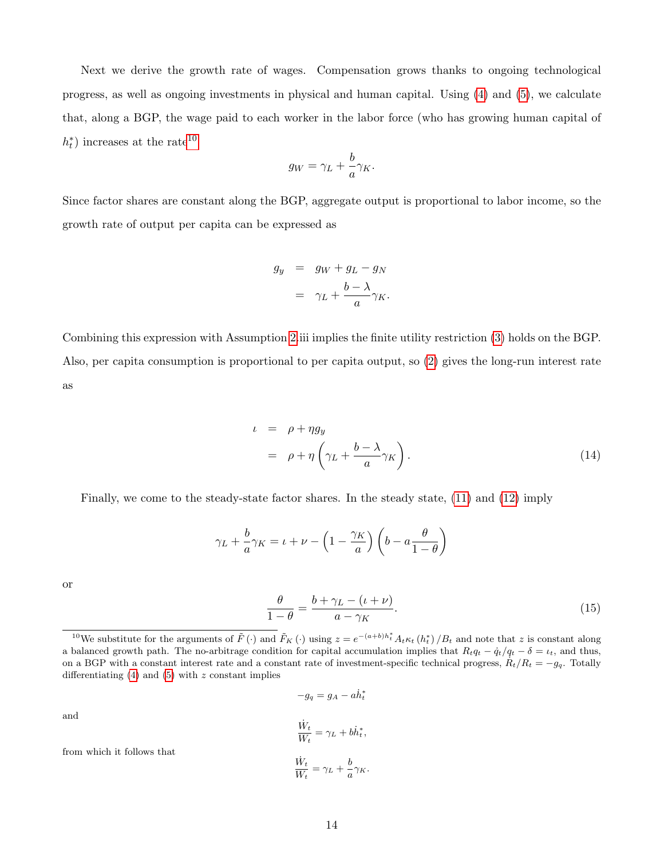Next we derive the growth rate of wages. Compensation grows thanks to ongoing technological progress, as well as ongoing investments in physical and human capital. Using [\(4\)](#page-10-1) and [\(5\)](#page-10-2), we calculate that, along a BGP, the wage paid to each worker in the labor force (who has growing human capital of  $h_t^*$ ) increases at the rate<sup>[10](#page-14-0)</sup>

$$
g_W = \gamma_L + \frac{b}{a} \gamma_K.
$$

Since factor shares are constant along the BGP, aggregate output is proportional to labor income, so the growth rate of output per capita can be expressed as

$$
g_y = g_W + g_L - g_N
$$

$$
= \gamma_L + \frac{b - \lambda}{a} \gamma_K.
$$

Combining this expression with Assumption [2.](#page-10-0)iii implies the finite utility restriction [\(3\)](#page-8-2) holds on the BGP. Also, per capita consumption is proportional to per capita output, so [\(2\)](#page-8-3) gives the long-run interest rate as

<span id="page-14-1"></span>
$$
\begin{array}{rcl}\n\iota & = & \rho + \eta g_y \\
& = & \rho + \eta \left( \gamma_L + \frac{b - \lambda}{a} \gamma_K \right).\n\end{array} \tag{14}
$$

Finally, we come to the steady-state factor shares. In the steady state, [\(11\)](#page-13-1) and [\(12\)](#page-13-4) imply

$$
\gamma_L + \frac{b}{a} \gamma_K = \iota + \nu - \left(1 - \frac{\gamma_K}{a}\right) \left(b - a \frac{\theta}{1 - \theta}\right)
$$

or

and

<span id="page-14-2"></span>
$$
\frac{\theta}{1-\theta} = \frac{b+\gamma_L - (\iota + \nu)}{a-\gamma_K}.
$$
\n(15)

$$
-g_q = g_A - a\dot{h}_t^*
$$

$$
\frac{\dot{W}_t}{W_t} = \gamma_L + b\dot{h}_t^*,
$$

$$
\frac{\dot{W}_t}{W_t} = \gamma_L + \frac{b}{a}\gamma_K.
$$

from which it follows that

<span id="page-14-0"></span><sup>&</sup>lt;sup>10</sup>We substitute for the arguments of  $\tilde{F}(\cdot)$  and  $\tilde{F}_K(\cdot)$  using  $z = e^{-(a+b)h_t^*} A_t \kappa_t(h_t^*)/B_t$  and note that z is constant along a balanced growth path. The no-arbitrage condition for capital accumulation implies that  $R_tq_t - \dot{q}_t/q_t - \delta = \iota_t$ , and thus, on a BGP with a constant interest rate and a constant rate of investment-specific technical progress,  $R_t/R_t = -g_q$ . Totally differentiating  $(4)$  and  $(5)$  with z constant implies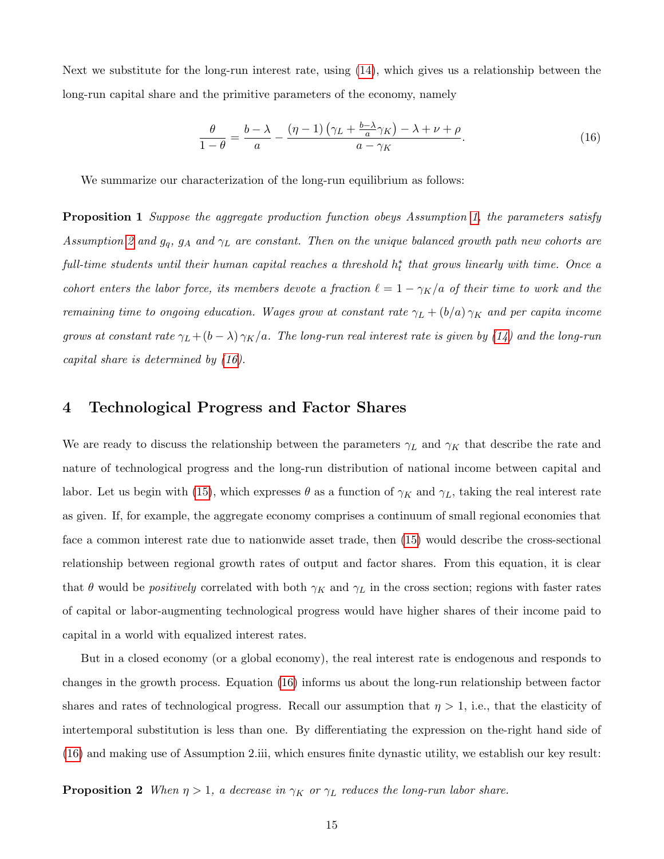Next we substitute for the long-run interest rate, using [\(14\)](#page-14-1), which gives us a relationship between the long-run capital share and the primitive parameters of the economy, namely

<span id="page-15-0"></span>
$$
\frac{\theta}{1-\theta} = \frac{b-\lambda}{a} - \frac{(\eta-1)\left(\gamma_L + \frac{b-\lambda}{a}\gamma_K\right) - \lambda + \nu + \rho}{a - \gamma_K}.
$$
\n(16)

We summarize our characterization of the long-run equilibrium as follows:

**Proposition 1** Suppose the aggregate production function obeys Assumption [1,](#page-9-1) the parameters satisfy Assumption [2](#page-10-0) and  $g_q$ ,  $g_A$  and  $\gamma_L$  are constant. Then on the unique balanced growth path new cohorts are  $full-time$  students until their human capital reaches a threshold  $h_t^*$  that grows linearly with time. Once a cohort enters the labor force, its members devote a fraction  $\ell = 1 - \gamma_K/a$  of their time to work and the remaining time to ongoing education. Wages grow at constant rate  $\gamma_L + (b/a)\gamma_K$  and per capita income grows at constant rate  $\gamma_L + (b - \lambda) \gamma_K/a$ . The long-run real interest rate is given by [\(14\)](#page-14-1) and the long-run capital share is determined by [\(16\)](#page-15-0).

### <span id="page-15-1"></span>4 Technological Progress and Factor Shares

We are ready to discuss the relationship between the parameters  $\gamma_L$  and  $\gamma_K$  that describe the rate and nature of technological progress and the long-run distribution of national income between capital and labor. Let us begin with [\(15\)](#page-14-2), which expresses  $\theta$  as a function of  $\gamma_K$  and  $\gamma_L$ , taking the real interest rate as given. If, for example, the aggregate economy comprises a continuum of small regional economies that face a common interest rate due to nationwide asset trade, then [\(15\)](#page-14-2) would describe the cross-sectional relationship between regional growth rates of output and factor shares. From this equation, it is clear that  $\theta$  would be *positively* correlated with both  $\gamma_K$  and  $\gamma_L$  in the cross section; regions with faster rates of capital or labor-augmenting technological progress would have higher shares of their income paid to capital in a world with equalized interest rates.

But in a closed economy (or a global economy), the real interest rate is endogenous and responds to changes in the growth process. Equation [\(16\)](#page-15-0) informs us about the long-run relationship between factor shares and rates of technological progress. Recall our assumption that  $\eta > 1$ , i.e., that the elasticity of intertemporal substitution is less than one. By differentiating the expression on the-right hand side of [\(16\)](#page-15-0) and making use of Assumption 2.iii, which ensures finite dynastic utility, we establish our key result:

<span id="page-15-2"></span>**Proposition 2** When  $\eta > 1$ , a decrease in  $\gamma_K$  or  $\gamma_L$  reduces the long-run labor share.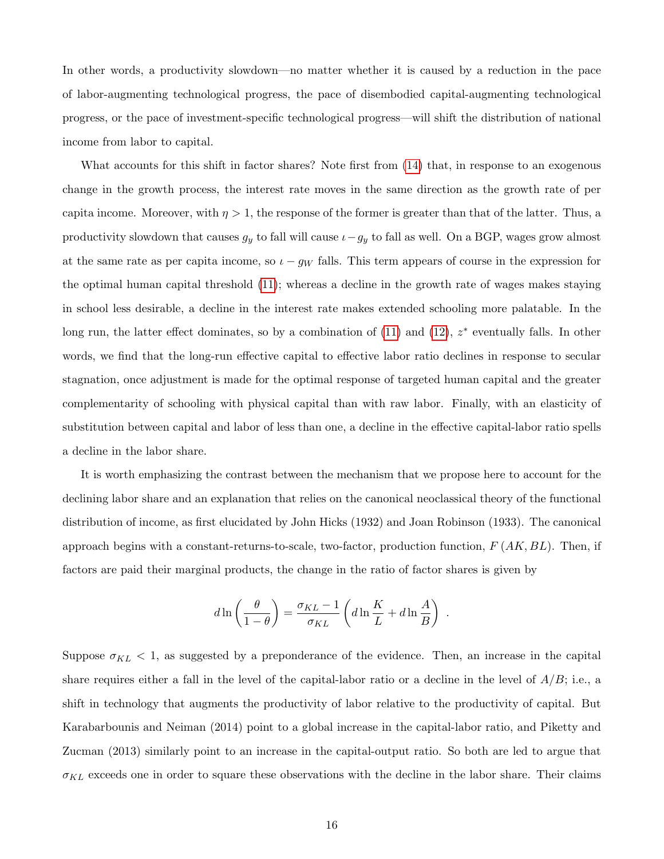In other words, a productivity slowdown—no matter whether it is caused by a reduction in the pace of labor-augmenting technological progress, the pace of disembodied capital-augmenting technological progress, or the pace of investment-specific technological progress—will shift the distribution of national income from labor to capital.

What accounts for this shift in factor shares? Note first from [\(14\)](#page-14-1) that, in response to an exogenous change in the growth process, the interest rate moves in the same direction as the growth rate of per capita income. Moreover, with  $\eta > 1$ , the response of the former is greater than that of the latter. Thus, a productivity slowdown that causes  $g_y$  to fall will cause  $i-g_y$  to fall as well. On a BGP, wages grow almost at the same rate as per capita income, so  $\iota - g_W$  falls. This term appears of course in the expression for the optimal human capital threshold [\(11\)](#page-13-1); whereas a decline in the growth rate of wages makes staying in school less desirable, a decline in the interest rate makes extended schooling more palatable. In the long run, the latter effect dominates, so by a combination of  $(11)$  and  $(12)$ ,  $z^*$  eventually falls. In other words, we find that the long-run effective capital to effective labor ratio declines in response to secular stagnation, once adjustment is made for the optimal response of targeted human capital and the greater complementarity of schooling with physical capital than with raw labor. Finally, with an elasticity of substitution between capital and labor of less than one, a decline in the effective capital-labor ratio spells a decline in the labor share.

It is worth emphasizing the contrast between the mechanism that we propose here to account for the declining labor share and an explanation that relies on the canonical neoclassical theory of the functional distribution of income, as first elucidated by John Hicks (1932) and Joan Robinson (1933). The canonical approach begins with a constant-returns-to-scale, two-factor, production function,  $F(AK, BL)$ . Then, if factors are paid their marginal products, the change in the ratio of factor shares is given by

$$
d\ln\left(\frac{\theta}{1-\theta}\right) = \frac{\sigma_{KL}-1}{\sigma_{KL}} \left(d\ln\frac{K}{L} + d\ln\frac{A}{B}\right) .
$$

Suppose  $\sigma_{KL}$  < 1, as suggested by a preponderance of the evidence. Then, an increase in the capital share requires either a fall in the level of the capital-labor ratio or a decline in the level of  $A/B$ ; i.e., a shift in technology that augments the productivity of labor relative to the productivity of capital. But Karabarbounis and Neiman (2014) point to a global increase in the capital-labor ratio, and Piketty and Zucman (2013) similarly point to an increase in the capital-output ratio. So both are led to argue that  $\sigma_{KL}$  exceeds one in order to square these observations with the decline in the labor share. Their claims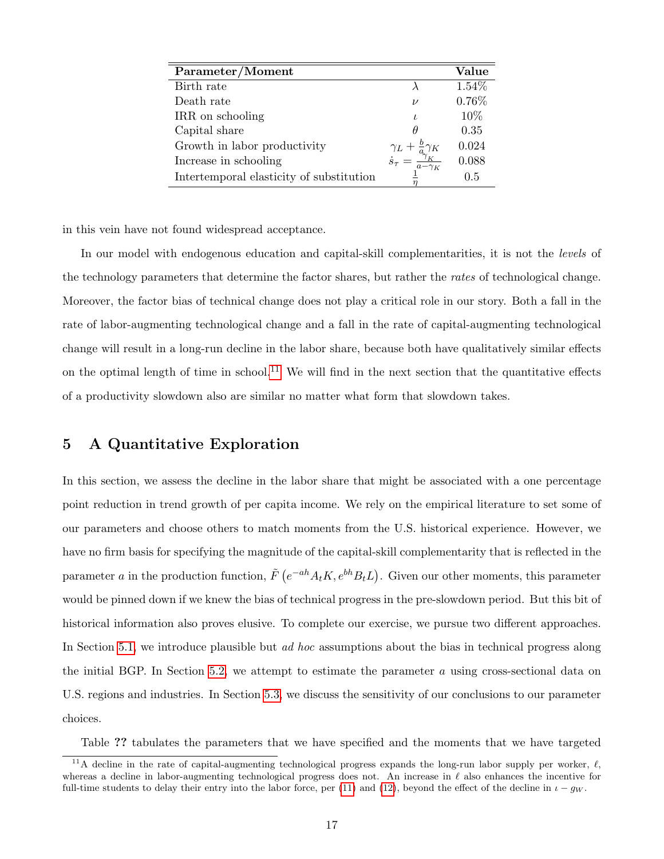| Parameter/Moment                         |                                                                                                                | Value |
|------------------------------------------|----------------------------------------------------------------------------------------------------------------|-------|
| Birth rate                               |                                                                                                                | 1.54% |
| Death rate                               | $\nu$                                                                                                          | 0.76% |
| IRR on schooling                         |                                                                                                                | 10\%  |
| Capital share                            |                                                                                                                | 0.35  |
| Growth in labor productivity             |                                                                                                                | 0.024 |
| Increase in schooling                    | $\begin{array}{c} \gamma_L + \frac{b}{a} \gamma_K \\ \dot{s}_\tau = \frac{\gamma_K}{a - \gamma_K} \end{array}$ | 0.088 |
| Intertemporal elasticity of substitution |                                                                                                                | 0.5   |

in this vein have not found widespread acceptance.

In our model with endogenous education and capital-skill complementarities, it is not the *levels* of the technology parameters that determine the factor shares, but rather the rates of technological change. Moreover, the factor bias of technical change does not play a critical role in our story. Both a fall in the rate of labor-augmenting technological change and a fall in the rate of capital-augmenting technological change will result in a long-run decline in the labor share, because both have qualitatively similar effects on the optimal length of time in school.<sup>[11](#page-17-0)</sup> We will find in the next section that the quantitative effects of a productivity slowdown also are similar no matter what form that slowdown takes.

# <span id="page-17-1"></span>5 A Quantitative Exploration

In this section, we assess the decline in the labor share that might be associated with a one percentage point reduction in trend growth of per capita income. We rely on the empirical literature to set some of our parameters and choose others to match moments from the U.S. historical experience. However, we have no firm basis for specifying the magnitude of the capital-skill complementarity that is reflected in the parameter a in the production function,  $\tilde{F}$   $(e^{-ah}A_tK, e^{bh}B_tL)$ . Given our other moments, this parameter would be pinned down if we knew the bias of technical progress in the pre-slowdown period. But this bit of historical information also proves elusive. To complete our exercise, we pursue two different approaches. In Section [5.1,](#page-19-0) we introduce plausible but *ad hoc* assumptions about the bias in technical progress along the initial BGP. In Section [5.2,](#page-20-0) we attempt to estimate the parameter  $a$  using cross-sectional data on U.S. regions and industries. In Section [5.3,](#page-24-0) we discuss the sensitivity of our conclusions to our parameter choices.

Table ?? tabulates the parameters that we have specified and the moments that we have targeted

<span id="page-17-0"></span><sup>&</sup>lt;sup>11</sup>A decline in the rate of capital-augmenting technological progress expands the long-run labor supply per worker,  $\ell$ , whereas a decline in labor-augmenting technological progress does not. An increase in  $\ell$  also enhances the incentive for full-time students to delay their entry into the labor force, per [\(11\)](#page-13-1) and [\(12\)](#page-13-4), beyond the effect of the decline in  $\iota - g_W$ .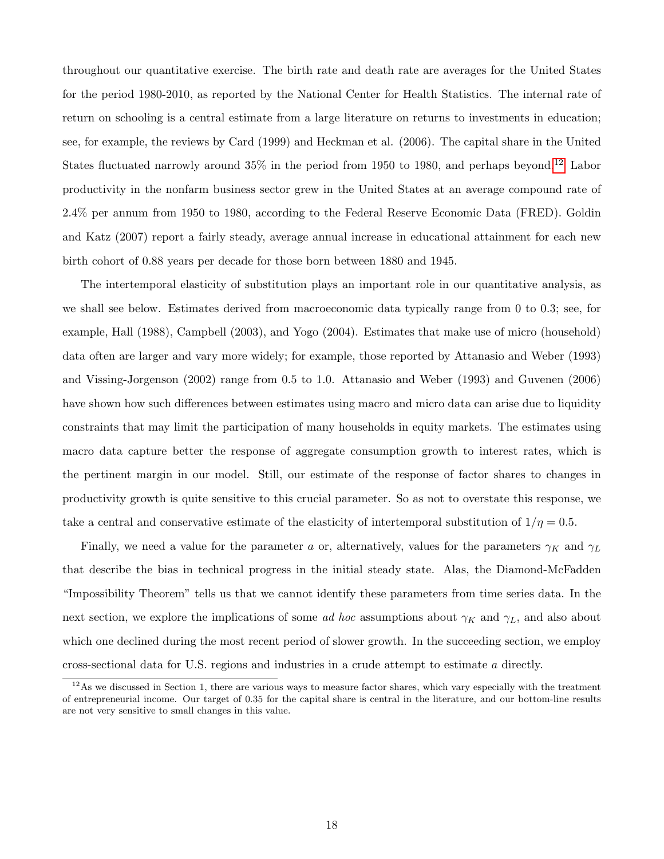throughout our quantitative exercise. The birth rate and death rate are averages for the United States for the period 1980-2010, as reported by the National Center for Health Statistics. The internal rate of return on schooling is a central estimate from a large literature on returns to investments in education; see, for example, the reviews by Card (1999) and Heckman et al. (2006). The capital share in the United States fluctuated narrowly around  $35\%$  in the period from 1950 to 1980, and perhaps beyond.<sup>[12](#page-18-0)</sup> Labor productivity in the nonfarm business sector grew in the United States at an average compound rate of 2.4% per annum from 1950 to 1980, according to the Federal Reserve Economic Data (FRED). Goldin and Katz (2007) report a fairly steady, average annual increase in educational attainment for each new birth cohort of 0.88 years per decade for those born between 1880 and 1945.

The intertemporal elasticity of substitution plays an important role in our quantitative analysis, as we shall see below. Estimates derived from macroeconomic data typically range from 0 to 0.3; see, for example, Hall (1988), Campbell (2003), and Yogo (2004). Estimates that make use of micro (household) data often are larger and vary more widely; for example, those reported by Attanasio and Weber (1993) and Vissing-Jorgenson (2002) range from 0.5 to 1.0. Attanasio and Weber (1993) and Guvenen (2006) have shown how such differences between estimates using macro and micro data can arise due to liquidity constraints that may limit the participation of many households in equity markets. The estimates using macro data capture better the response of aggregate consumption growth to interest rates, which is the pertinent margin in our model. Still, our estimate of the response of factor shares to changes in productivity growth is quite sensitive to this crucial parameter. So as not to overstate this response, we take a central and conservative estimate of the elasticity of intertemporal substitution of  $1/\eta = 0.5$ .

Finally, we need a value for the parameter a or, alternatively, values for the parameters  $\gamma_K$  and  $\gamma_L$ that describe the bias in technical progress in the initial steady state. Alas, the Diamond-McFadden "Impossibility Theorem" tells us that we cannot identify these parameters from time series data. In the next section, we explore the implications of some *ad hoc* assumptions about  $\gamma_K$  and  $\gamma_L$ , and also about which one declined during the most recent period of slower growth. In the succeeding section, we employ cross-sectional data for U.S. regions and industries in a crude attempt to estimate a directly.

<span id="page-18-0"></span> $12$ As we discussed in Section 1, there are various ways to measure factor shares, which vary especially with the treatment of entrepreneurial income. Our target of 0.35 for the capital share is central in the literature, and our bottom-line results are not very sensitive to small changes in this value.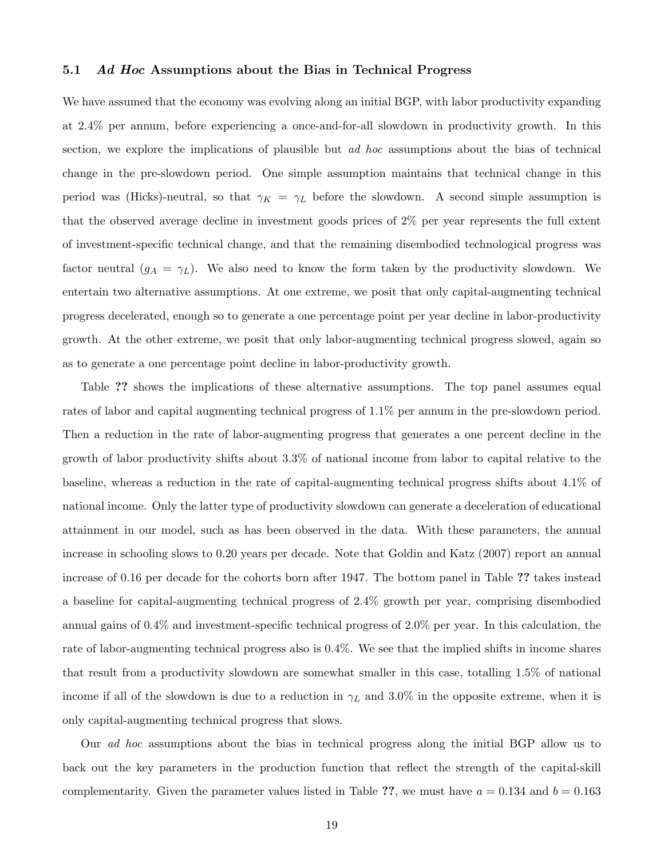#### <span id="page-19-0"></span>5.1 Ad Hoc Assumptions about the Bias in Technical Progress

We have assumed that the economy was evolving along an initial BGP, with labor productivity expanding at 2.4% per annum, before experiencing a once-and-for-all slowdown in productivity growth. In this section, we explore the implications of plausible but *ad hoc* assumptions about the bias of technical change in the pre-slowdown period. One simple assumption maintains that technical change in this period was (Hicks)-neutral, so that  $\gamma_K = \gamma_L$  before the slowdown. A second simple assumption is that the observed average decline in investment goods prices of 2% per year represents the full extent of investment-specific technical change, and that the remaining disembodied technological progress was factor neutral  $(g_A = \gamma_L)$ . We also need to know the form taken by the productivity slowdown. We entertain two alternative assumptions. At one extreme, we posit that only capital-augmenting technical progress decelerated, enough so to generate a one percentage point per year decline in labor-productivity growth. At the other extreme, we posit that only labor-augmenting technical progress slowed, again so as to generate a one percentage point decline in labor-productivity growth.

Table ?? shows the implications of these alternative assumptions. The top panel assumes equal rates of labor and capital augmenting technical progress of 1.1% per annum in the pre-slowdown period. Then a reduction in the rate of labor-augmenting progress that generates a one percent decline in the growth of labor productivity shifts about 3.3% of national income from labor to capital relative to the baseline, whereas a reduction in the rate of capital-augmenting technical progress shifts about 4.1% of national income. Only the latter type of productivity slowdown can generate a deceleration of educational attainment in our model, such as has been observed in the data. With these parameters, the annual increase in schooling slows to 0.20 years per decade. Note that Goldin and Katz (2007) report an annual increase of 0.16 per decade for the cohorts born after 1947. The bottom panel in Table ?? takes instead a baseline for capital-augmenting technical progress of 2.4% growth per year, comprising disembodied annual gains of 0.4% and investment-specific technical progress of 2.0% per year. In this calculation, the rate of labor-augmenting technical progress also is 0.4%. We see that the implied shifts in income shares that result from a productivity slowdown are somewhat smaller in this case, totalling 1.5% of national income if all of the slowdown is due to a reduction in  $\gamma_L$  and 3.0% in the opposite extreme, when it is only capital-augmenting technical progress that slows.

Our ad hoc assumptions about the bias in technical progress along the initial BGP allow us to back out the key parameters in the production function that reflect the strength of the capital-skill complementarity. Given the parameter values listed in Table ??, we must have  $a = 0.134$  and  $b = 0.163$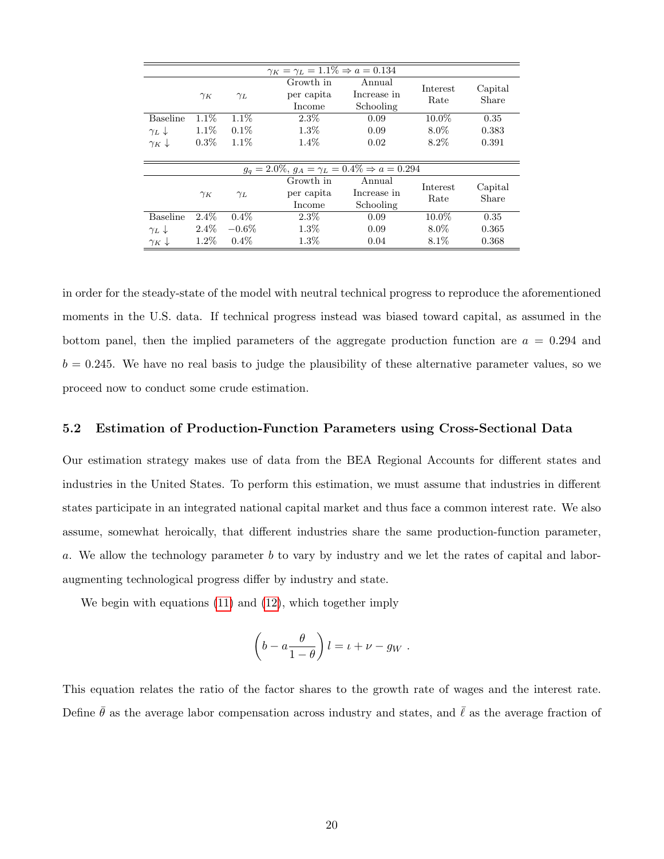| $\gamma_K = \gamma_L = 1.1\% \Rightarrow a = 0.134$ |            |            |                                                             |                                    |                  |                  |
|-----------------------------------------------------|------------|------------|-------------------------------------------------------------|------------------------------------|------------------|------------------|
|                                                     | $\gamma_K$ | $\gamma_L$ | Growth in<br>per capita<br>Income                           | Annual<br>Increase in<br>Schooling | Interest<br>Rate | Capital<br>Share |
| <b>Baseline</b>                                     | $1.1\%$    | $1.1\%$    | $2.3\%$                                                     | 0.09                               | 10.0%            | 0.35             |
| $\gamma_L$                                          | $1.1\%$    | $0.1\%$    | $1.3\%$                                                     | 0.09                               | $8.0\%$          | 0.383            |
| $\gamma_K \downarrow$                               | $0.3\%$    | $1.1\%$    | $1.4\%$                                                     | 0.02                               | $8.2\%$          | 0.391            |
|                                                     |            |            |                                                             |                                    |                  |                  |
|                                                     |            |            | $g_q = 2.0\%, g_A = \gamma_L = 0.4\% \Rightarrow a = 0.294$ |                                    |                  |                  |
|                                                     | $\gamma_K$ | $\gamma_L$ | Growth in<br>per capita<br>Income                           | Annual<br>Increase in<br>Schooling | Interest<br>Rate | Capital<br>Share |
| <b>Baseline</b>                                     | $2.4\%$    | $0.4\%$    | $2.3\%$                                                     | 0.09                               | 10.0%            | 0.35             |
| $\gamma_L$                                          | $2.4\%$    | $-0.6\%$   | $1.3\%$                                                     | 0.09                               | $8.0\%$          | 0.365            |
| $\gamma_K \downarrow$                               | $1.2\%$    | $0.4\%$    | $1.3\%$                                                     | 0.04                               | $8.1\%$          | 0.368            |

in order for the steady-state of the model with neutral technical progress to reproduce the aforementioned moments in the U.S. data. If technical progress instead was biased toward capital, as assumed in the bottom panel, then the implied parameters of the aggregate production function are  $a = 0.294$  and  $b = 0.245$ . We have no real basis to judge the plausibility of these alternative parameter values, so we proceed now to conduct some crude estimation.

#### <span id="page-20-0"></span>5.2 Estimation of Production-Function Parameters using Cross-Sectional Data

Our estimation strategy makes use of data from the BEA Regional Accounts for different states and industries in the United States. To perform this estimation, we must assume that industries in different states participate in an integrated national capital market and thus face a common interest rate. We also assume, somewhat heroically, that different industries share the same production-function parameter, a. We allow the technology parameter b to vary by industry and we let the rates of capital and laboraugmenting technological progress differ by industry and state.

We begin with equations [\(11\)](#page-13-1) and [\(12\)](#page-13-4), which together imply

$$
\left(b-a\frac{\theta}{1-\theta}\right)l = \iota + \nu - g_W.
$$

This equation relates the ratio of the factor shares to the growth rate of wages and the interest rate. Define  $\bar{\theta}$  as the average labor compensation across industry and states, and  $\bar{\ell}$  as the average fraction of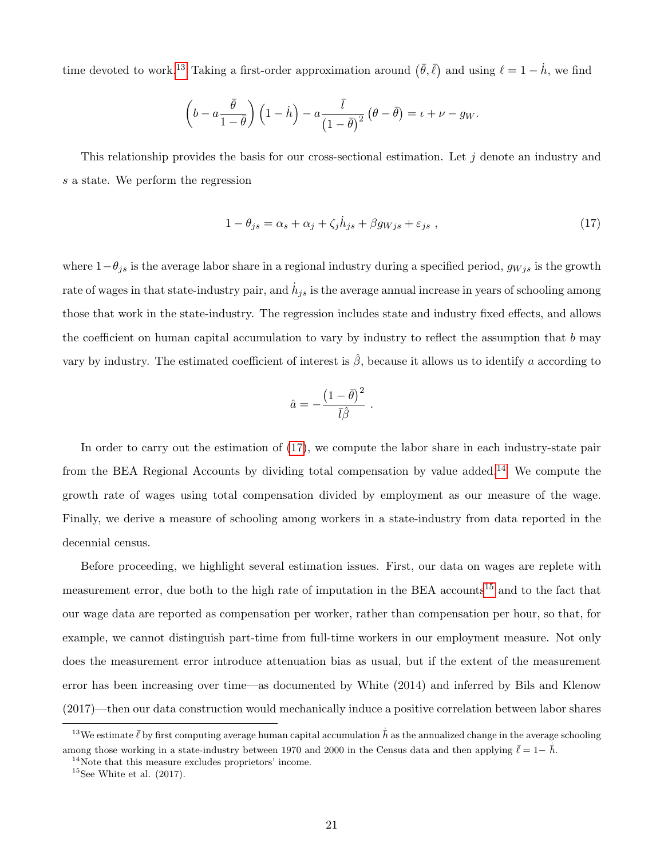time devoted to work.<sup>[13](#page-21-0)</sup> Taking a first-order approximation around  $(\bar{\theta}, \bar{\ell})$  and using  $\ell = 1 - \dot{h}$ , we find

$$
\left(b-a\frac{\bar{\theta}}{1-\bar{\theta}}\right)\left(1-\dot{h}\right)-a\frac{\bar{l}}{\left(1-\bar{\theta}\right)^2}\left(\theta-\bar{\theta}\right)=\iota+\nu-g_W.
$$

This relationship provides the basis for our cross-sectional estimation. Let  $j$  denote an industry and s a state. We perform the regression

<span id="page-21-1"></span>
$$
1 - \theta_{js} = \alpha_s + \alpha_j + \zeta_j \dot{h}_{js} + \beta g_{Wjs} + \varepsilon_{js} , \qquad (17)
$$

where  $1-\theta_{js}$  is the average labor share in a regional industry during a specified period,  $g_{Wjs}$  is the growth rate of wages in that state-industry pair, and  $\dot{h}_{js}$  is the average annual increase in years of schooling among those that work in the state-industry. The regression includes state and industry fixed effects, and allows the coefficient on human capital accumulation to vary by industry to reflect the assumption that  $b$  may vary by industry. The estimated coefficient of interest is  $\hat{\beta}$ , because it allows us to identify a according to

$$
\hat{a} = -\frac{\left(1 - \bar{\theta}\right)^2}{\bar{l}\hat{\beta}} \; .
$$

In order to carry out the estimation of [\(17\)](#page-21-1), we compute the labor share in each industry-state pair from the BEA Regional Accounts by dividing total compensation by value added.<sup>[14](#page-21-2)</sup> We compute the growth rate of wages using total compensation divided by employment as our measure of the wage. Finally, we derive a measure of schooling among workers in a state-industry from data reported in the decennial census.

Before proceeding, we highlight several estimation issues. First, our data on wages are replete with measurement error, due both to the high rate of imputation in the BEA accounts[15](#page-21-3) and to the fact that our wage data are reported as compensation per worker, rather than compensation per hour, so that, for example, we cannot distinguish part-time from full-time workers in our employment measure. Not only does the measurement error introduce attenuation bias as usual, but if the extent of the measurement error has been increasing over time—as documented by White (2014) and inferred by Bils and Klenow (2017)—then our data construction would mechanically induce a positive correlation between labor shares

<span id="page-21-0"></span><sup>&</sup>lt;sup>13</sup>We estimate  $\bar{\ell}$  by first computing average human capital accumulation  $\dot{\bar{h}}$  as the annualized change in the average schooling among those working in a state-industry between 1970 and 2000 in the Census data and then applying  $\bar{\ell} = 1 - \bar{h}$ .

<span id="page-21-2"></span> $14$ Note that this measure excludes proprietors' income.

<span id="page-21-3"></span> $15$ See White et al.  $(2017)$ .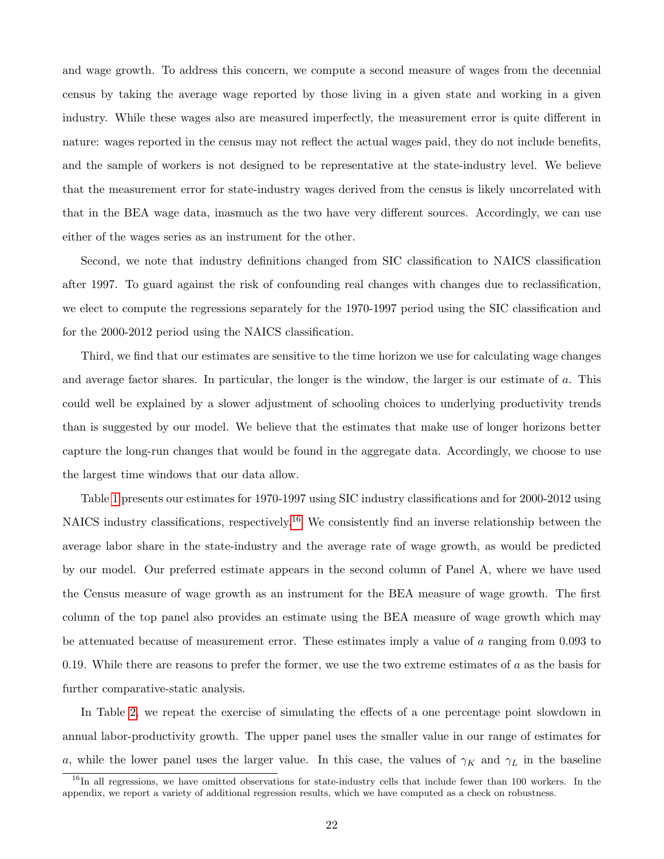and wage growth. To address this concern, we compute a second measure of wages from the decennial census by taking the average wage reported by those living in a given state and working in a given industry. While these wages also are measured imperfectly, the measurement error is quite different in nature: wages reported in the census may not reflect the actual wages paid, they do not include benefits, and the sample of workers is not designed to be representative at the state-industry level. We believe that the measurement error for state-industry wages derived from the census is likely uncorrelated with that in the BEA wage data, inasmuch as the two have very different sources. Accordingly, we can use either of the wages series as an instrument for the other.

Second, we note that industry definitions changed from SIC classification to NAICS classification after 1997. To guard against the risk of confounding real changes with changes due to reclassification, we elect to compute the regressions separately for the 1970-1997 period using the SIC classification and for the 2000-2012 period using the NAICS classification.

Third, we find that our estimates are sensitive to the time horizon we use for calculating wage changes and average factor shares. In particular, the longer is the window, the larger is our estimate of a. This could well be explained by a slower adjustment of schooling choices to underlying productivity trends than is suggested by our model. We believe that the estimates that make use of longer horizons better capture the long-run changes that would be found in the aggregate data. Accordingly, we choose to use the largest time windows that our data allow.

Table [1](#page-23-0) presents our estimates for 1970-1997 using SIC industry classifications and for 2000-2012 using NAICS industry classifications, respectively.[16](#page-22-0) We consistently find an inverse relationship between the average labor share in the state-industry and the average rate of wage growth, as would be predicted by our model. Our preferred estimate appears in the second column of Panel A, where we have used the Census measure of wage growth as an instrument for the BEA measure of wage growth. The first column of the top panel also provides an estimate using the BEA measure of wage growth which may be attenuated because of measurement error. These estimates imply a value of a ranging from 0.093 to 0.19. While there are reasons to prefer the former, we use the two extreme estimates of  $a$  as the basis for further comparative-static analysis.

In Table [2,](#page-24-1) we repeat the exercise of simulating the effects of a one percentage point slowdown in annual labor-productivity growth. The upper panel uses the smaller value in our range of estimates for a, while the lower panel uses the larger value. In this case, the values of  $\gamma_K$  and  $\gamma_L$  in the baseline

<span id="page-22-0"></span> $16$ In all regressions, we have omitted observations for state-industry cells that include fewer than 100 workers. In the appendix, we report a variety of additional regression results, which we have computed as a check on robustness.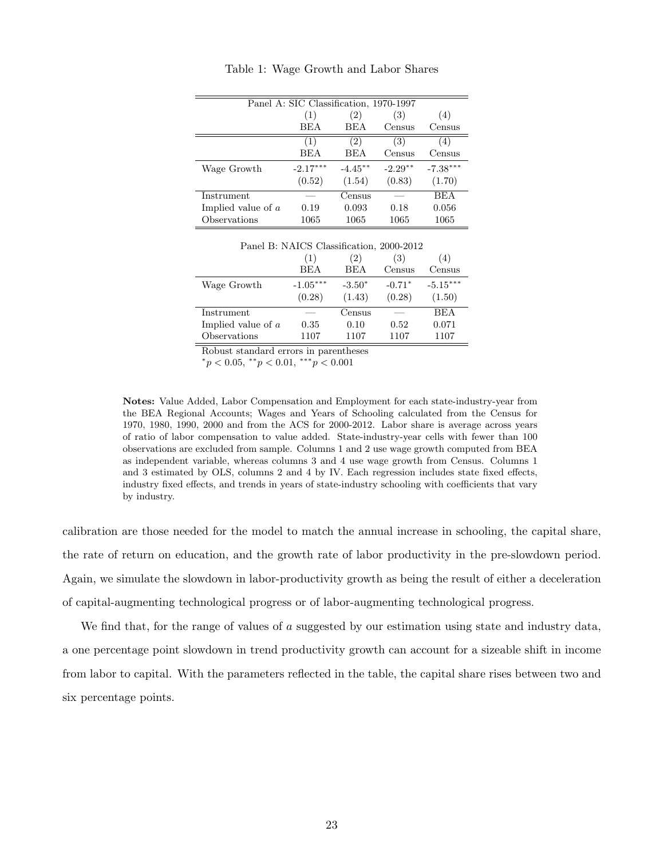<span id="page-23-0"></span>

| Panel A: SIC Classification, 1970-1997 |            |            |           |            |  |
|----------------------------------------|------------|------------|-----------|------------|--|
|                                        | (1)        | (2)        | (3)       | (4)        |  |
|                                        | <b>BEA</b> | <b>BEA</b> | Census    | Census     |  |
|                                        | (1)        | (2)        | (3)       | (4)        |  |
|                                        | <b>BEA</b> | <b>BEA</b> | Census    | Census     |  |
| Wage Growth                            | $-2.17***$ | $-4.45**$  | $-2.29**$ | $-7.38***$ |  |
|                                        | (0.52)     | (1.54)     | (0.83)    | (1.70)     |  |
| Instrument                             |            | Census     |           | <b>BEA</b> |  |
| Implied value of a                     | 0.19       | 0.093      | 0.18      | 0.056      |  |
| Observations                           | 1065       | 1065       | 1065      | 1065       |  |

Table 1: Wage Growth and Labor Shares

Panel B: NAICS Classification, 2000-2012

|                      | (1)        | $\left( 2\right)$ | (3)      | (4)        |
|----------------------|------------|-------------------|----------|------------|
|                      | <b>BEA</b> | <b>BEA</b>        | Census   | Census     |
| Wage Growth          | $-1.05***$ | $-3.50*$          | $-0.71*$ | $-5.15***$ |
|                      | (0.28)     | (1.43)            | (0.28)   | (1.50)     |
| Instrument           |            | Census            |          | <b>BEA</b> |
| Implied value of $a$ | 0.35       | 0.10              | 0.52     | 0.071      |
| Observations         | 1107       | 1107              | 1107     | 1107       |

Robust standard errors in parentheses

 ${}^*p < 0.05, {}^{**}p < 0.01, {}^{***}p < 0.001$ 

Notes: Value Added, Labor Compensation and Employment for each state-industry-year from the BEA Regional Accounts; Wages and Years of Schooling calculated from the Census for 1970, 1980, 1990, 2000 and from the ACS for 2000-2012. Labor share is average across years of ratio of labor compensation to value added. State-industry-year cells with fewer than 100 observations are excluded from sample. Columns 1 and 2 use wage growth computed from BEA as independent variable, whereas columns 3 and 4 use wage growth from Census. Columns 1 and 3 estimated by OLS, columns 2 and 4 by IV. Each regression includes state fixed effects, industry fixed effects, and trends in years of state-industry schooling with coefficients that vary by industry.

calibration are those needed for the model to match the annual increase in schooling, the capital share, the rate of return on education, and the growth rate of labor productivity in the pre-slowdown period. Again, we simulate the slowdown in labor-productivity growth as being the result of either a deceleration of capital-augmenting technological progress or of labor-augmenting technological progress.

We find that, for the range of values of  $a$  suggested by our estimation using state and industry data, a one percentage point slowdown in trend productivity growth can account for a sizeable shift in income from labor to capital. With the parameters reflected in the table, the capital share rises between two and six percentage points.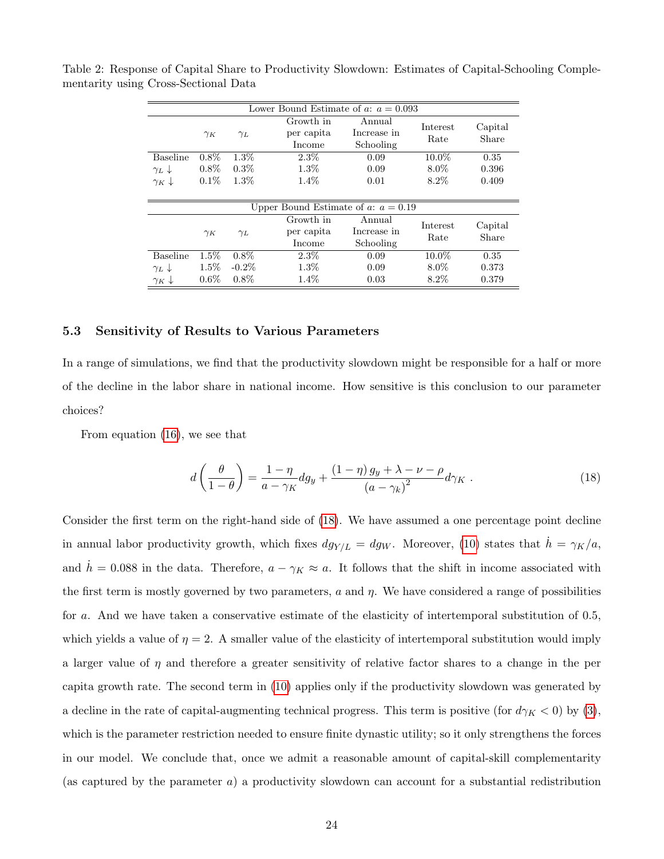|                                       |            |            | Lower Bound Estimate of a: $a = 0.093$ |                                    |                  |                  |
|---------------------------------------|------------|------------|----------------------------------------|------------------------------------|------------------|------------------|
|                                       | $\gamma_K$ | $\gamma_L$ | Growth in<br>per capita<br>Income      | Annual<br>Increase in<br>Schooling | Interest<br>Rate | Capital<br>Share |
| <b>Baseline</b>                       | $0.8\%$    | $1.3\%$    | $2.3\%$                                | 0.09                               | $10.0\%$         | 0.35             |
| $\gamma_L$                            | $0.8\%$    | $0.3\%$    | $1.3\%$                                | 0.09                               | $8.0\%$          | 0.396            |
| $\gamma_K \downarrow$                 | $0.1\%$    | $1.3\%$    | $1.4\%$                                | 0.01                               | $8.2\%$          | 0.409            |
|                                       |            |            |                                        |                                    |                  |                  |
| Upper Bound Estimate of a: $a = 0.19$ |            |            |                                        |                                    |                  |                  |
|                                       | $\gamma_K$ | $\gamma_L$ | Growth in<br>per capita<br>Income      | Annual<br>Increase in<br>Schooling | Interest<br>Rate | Capital<br>Share |
| <b>Baseline</b>                       | $1.5\%$    | $0.8\%$    | $2.3\%$                                | 0.09                               | $10.0\%$         | 0.35             |
| $\gamma_L$                            | $1.5\%$    | $-0.2\%$   | $1.3\%$                                | 0.09                               | $8.0\%$          | 0.373            |
| $\gamma_K \downarrow$                 | $0.6\%$    | $0.8\%$    | $1.4\%$                                | 0.03                               | $8.2\%$          | 0.379            |

<span id="page-24-1"></span>Table 2: Response of Capital Share to Productivity Slowdown: Estimates of Capital-Schooling Complementarity using Cross-Sectional Data

#### <span id="page-24-0"></span>5.3 Sensitivity of Results to Various Parameters

In a range of simulations, we find that the productivity slowdown might be responsible for a half or more of the decline in the labor share in national income. How sensitive is this conclusion to our parameter choices?

From equation [\(16\)](#page-15-0), we see that

<span id="page-24-2"></span>
$$
d\left(\frac{\theta}{1-\theta}\right) = \frac{1-\eta}{a-\gamma_K}dg_y + \frac{(1-\eta)g_y + \lambda - \nu - \rho}{\left(a-\gamma_k\right)^2}d\gamma_K\tag{18}
$$

Consider the first term on the right-hand side of [\(18\)](#page-24-2). We have assumed a one percentage point decline in annual labor productivity growth, which fixes  $dg_{Y/L} = dg_W$ . Moreover, [\(10\)](#page-12-2) states that  $h = \gamma_K/a$ , and  $h = 0.088$  in the data. Therefore,  $a - \gamma_K \approx a$ . It follows that the shift in income associated with the first term is mostly governed by two parameters,  $a$  and  $\eta$ . We have considered a range of possibilities for a. And we have taken a conservative estimate of the elasticity of intertemporal substitution of 0.5, which yields a value of  $\eta = 2$ . A smaller value of the elasticity of intertemporal substitution would imply a larger value of  $\eta$  and therefore a greater sensitivity of relative factor shares to a change in the per capita growth rate. The second term in [\(10\)](#page-12-2) applies only if the productivity slowdown was generated by a decline in the rate of capital-augmenting technical progress. This term is positive (for  $d\gamma_K < 0$ ) by [\(3\)](#page-8-2), which is the parameter restriction needed to ensure finite dynastic utility; so it only strengthens the forces in our model. We conclude that, once we admit a reasonable amount of capital-skill complementarity (as captured by the parameter  $a$ ) a productivity slowdown can account for a substantial redistribution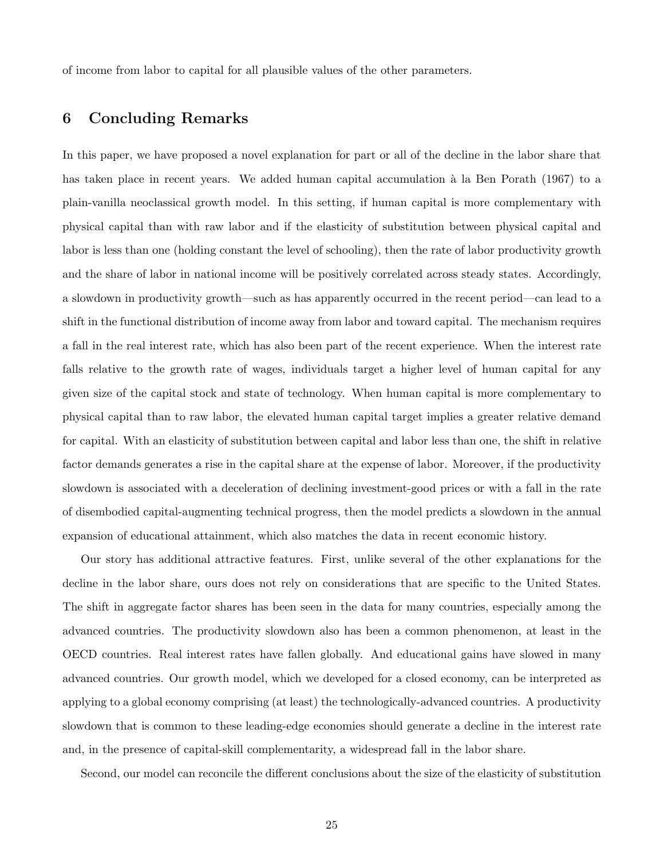of income from labor to capital for all plausible values of the other parameters.

# 6 Concluding Remarks

In this paper, we have proposed a novel explanation for part or all of the decline in the labor share that has taken place in recent years. We added human capital accumulation à la Ben Porath (1967) to a plain-vanilla neoclassical growth model. In this setting, if human capital is more complementary with physical capital than with raw labor and if the elasticity of substitution between physical capital and labor is less than one (holding constant the level of schooling), then the rate of labor productivity growth and the share of labor in national income will be positively correlated across steady states. Accordingly, a slowdown in productivity growth—such as has apparently occurred in the recent period—can lead to a shift in the functional distribution of income away from labor and toward capital. The mechanism requires a fall in the real interest rate, which has also been part of the recent experience. When the interest rate falls relative to the growth rate of wages, individuals target a higher level of human capital for any given size of the capital stock and state of technology. When human capital is more complementary to physical capital than to raw labor, the elevated human capital target implies a greater relative demand for capital. With an elasticity of substitution between capital and labor less than one, the shift in relative factor demands generates a rise in the capital share at the expense of labor. Moreover, if the productivity slowdown is associated with a deceleration of declining investment-good prices or with a fall in the rate of disembodied capital-augmenting technical progress, then the model predicts a slowdown in the annual expansion of educational attainment, which also matches the data in recent economic history.

Our story has additional attractive features. First, unlike several of the other explanations for the decline in the labor share, ours does not rely on considerations that are specific to the United States. The shift in aggregate factor shares has been seen in the data for many countries, especially among the advanced countries. The productivity slowdown also has been a common phenomenon, at least in the OECD countries. Real interest rates have fallen globally. And educational gains have slowed in many advanced countries. Our growth model, which we developed for a closed economy, can be interpreted as applying to a global economy comprising (at least) the technologically-advanced countries. A productivity slowdown that is common to these leading-edge economies should generate a decline in the interest rate and, in the presence of capital-skill complementarity, a widespread fall in the labor share.

Second, our model can reconcile the different conclusions about the size of the elasticity of substitution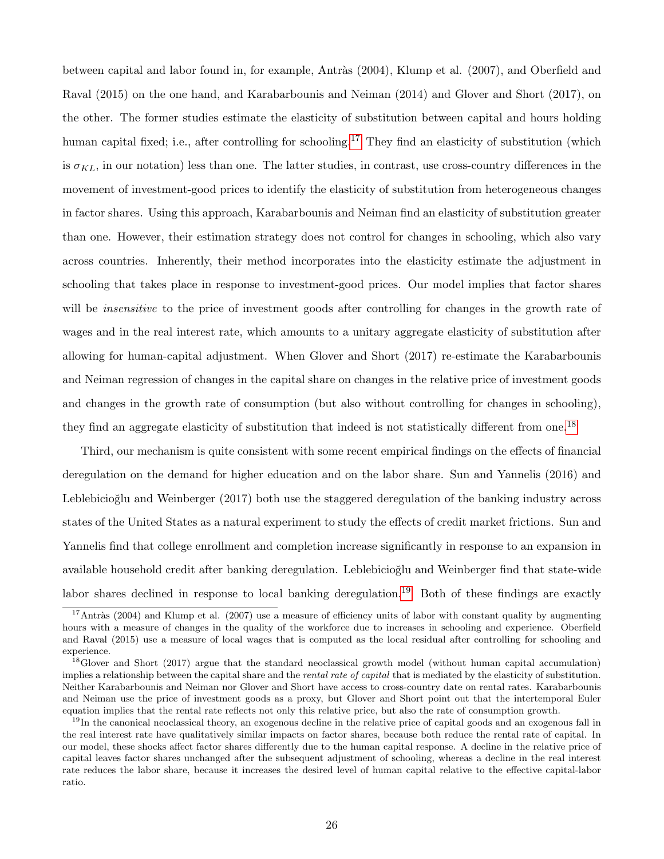between capital and labor found in, for example, Antràs (2004), Klump et al. (2007), and Oberfield and Raval (2015) on the one hand, and Karabarbounis and Neiman (2014) and Glover and Short (2017), on the other. The former studies estimate the elasticity of substitution between capital and hours holding human capital fixed; i.e., after controlling for schooling.<sup>[17](#page-26-0)</sup> They find an elasticity of substitution (which is  $\sigma_{KL}$ , in our notation) less than one. The latter studies, in contrast, use cross-country differences in the movement of investment-good prices to identify the elasticity of substitution from heterogeneous changes in factor shares. Using this approach, Karabarbounis and Neiman find an elasticity of substitution greater than one. However, their estimation strategy does not control for changes in schooling, which also vary across countries. Inherently, their method incorporates into the elasticity estimate the adjustment in schooling that takes place in response to investment-good prices. Our model implies that factor shares will be *insensitive* to the price of investment goods after controlling for changes in the growth rate of wages and in the real interest rate, which amounts to a unitary aggregate elasticity of substitution after allowing for human-capital adjustment. When Glover and Short (2017) re-estimate the Karabarbounis and Neiman regression of changes in the capital share on changes in the relative price of investment goods and changes in the growth rate of consumption (but also without controlling for changes in schooling), they find an aggregate elasticity of substitution that indeed is not statistically different from one.[18](#page-26-1)

Third, our mechanism is quite consistent with some recent empirical findings on the effects of financial deregulation on the demand for higher education and on the labor share. Sun and Yannelis (2016) and Leblebicioğlu and Weinberger (2017) both use the staggered deregulation of the banking industry across states of the United States as a natural experiment to study the effects of credit market frictions. Sun and Yannelis find that college enrollment and completion increase significantly in response to an expansion in available household credit after banking deregulation. Leblebicioğlu and Weinberger find that state-wide labor shares declined in response to local banking deregulation.<sup>[19](#page-26-2)</sup> Both of these findings are exactly

<span id="page-26-0"></span><sup>&</sup>lt;sup>17</sup>Antràs (2004) and Klump et al. (2007) use a measure of efficiency units of labor with constant quality by augmenting hours with a measure of changes in the quality of the workforce due to increases in schooling and experience. Oberfield and Raval (2015) use a measure of local wages that is computed as the local residual after controlling for schooling and experience.

<span id="page-26-1"></span> $^{18}$ Glover and Short (2017) argue that the standard neoclassical growth model (without human capital accumulation) implies a relationship between the capital share and the *rental rate of capital* that is mediated by the elasticity of substitution. Neither Karabarbounis and Neiman nor Glover and Short have access to cross-country date on rental rates. Karabarbounis and Neiman use the price of investment goods as a proxy, but Glover and Short point out that the intertemporal Euler equation implies that the rental rate reflects not only this relative price, but also the rate of consumption growth.

<span id="page-26-2"></span> $19$ In the canonical neoclassical theory, an exogenous decline in the relative price of capital goods and an exogenous fall in the real interest rate have qualitatively similar impacts on factor shares, because both reduce the rental rate of capital. In our model, these shocks affect factor shares differently due to the human capital response. A decline in the relative price of capital leaves factor shares unchanged after the subsequent adjustment of schooling, whereas a decline in the real interest rate reduces the labor share, because it increases the desired level of human capital relative to the effective capital-labor ratio.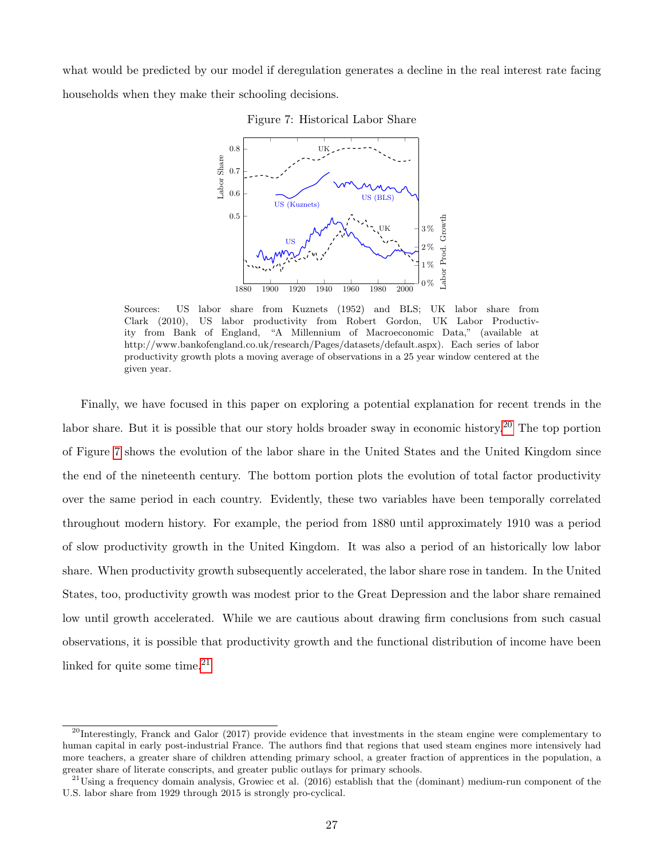<span id="page-27-1"></span>what would be predicted by our model if deregulation generates a decline in the real interest rate facing households when they make their schooling decisions.





Sources: US labor share from Kuznets (1952) and BLS; UK labor share from Clark (2010), US labor productivity from Robert Gordon, UK Labor Productivity from Bank of England, "A Millennium of Macroeconomic Data," (available at http://www.bankofengland.co.uk/research/Pages/datasets/default.aspx). Each series of labor productivity growth plots a moving average of observations in a 25 year window centered at the given year.

Finally, we have focused in this paper on exploring a potential explanation for recent trends in the labor share. But it is possible that our story holds broader sway in economic history.<sup>[20](#page-27-0)</sup> The top portion of Figure [7](#page-27-1) shows the evolution of the labor share in the United States and the United Kingdom since the end of the nineteenth century. The bottom portion plots the evolution of total factor productivity over the same period in each country. Evidently, these two variables have been temporally correlated throughout modern history. For example, the period from 1880 until approximately 1910 was a period of slow productivity growth in the United Kingdom. It was also a period of an historically low labor share. When productivity growth subsequently accelerated, the labor share rose in tandem. In the United States, too, productivity growth was modest prior to the Great Depression and the labor share remained low until growth accelerated. While we are cautious about drawing firm conclusions from such casual observations, it is possible that productivity growth and the functional distribution of income have been linked for quite some time. $21$ 

<span id="page-27-0"></span> $^{20}$ Interestingly, Franck and Galor (2017) provide evidence that investments in the steam engine were complementary to human capital in early post-industrial France. The authors find that regions that used steam engines more intensively had more teachers, a greater share of children attending primary school, a greater fraction of apprentices in the population, a greater share of literate conscripts, and greater public outlays for primary schools.

<span id="page-27-2"></span> $^{21}$ Using a frequency domain analysis, Growiec et al. (2016) establish that the (dominant) medium-run component of the U.S. labor share from 1929 through 2015 is strongly pro-cyclical.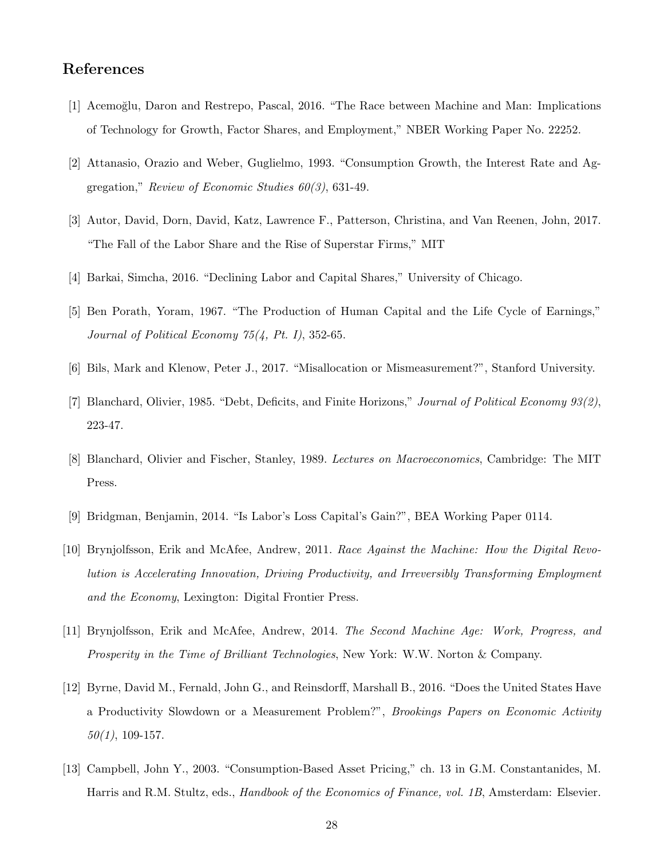# References

- [1] Acemoğlu, Daron and Restrepo, Pascal, 2016. "The Race between Machine and Man: Implications of Technology for Growth, Factor Shares, and Employment," NBER Working Paper No. 22252.
- [2] Attanasio, Orazio and Weber, Guglielmo, 1993. "Consumption Growth, the Interest Rate and Aggregation," Review of Economic Studies 60(3), 631-49.
- [3] Autor, David, Dorn, David, Katz, Lawrence F., Patterson, Christina, and Van Reenen, John, 2017. "The Fall of the Labor Share and the Rise of Superstar Firms," MIT
- [4] Barkai, Simcha, 2016. "Declining Labor and Capital Shares," University of Chicago.
- [5] Ben Porath, Yoram, 1967. "The Production of Human Capital and the Life Cycle of Earnings," Journal of Political Economy 75(4, Pt. I), 352-65.
- [6] Bils, Mark and Klenow, Peter J., 2017. "Misallocation or Mismeasurement?", Stanford University.
- [7] Blanchard, Olivier, 1985. "Debt, Deficits, and Finite Horizons," Journal of Political Economy 93(2), 223-47.
- [8] Blanchard, Olivier and Fischer, Stanley, 1989. Lectures on Macroeconomics, Cambridge: The MIT Press.
- [9] Bridgman, Benjamin, 2014. "Is Labor's Loss Capital's Gain?", BEA Working Paper 0114.
- [10] Brynjolfsson, Erik and McAfee, Andrew, 2011. Race Against the Machine: How the Digital Revolution is Accelerating Innovation, Driving Productivity, and Irreversibly Transforming Employment and the Economy, Lexington: Digital Frontier Press.
- [11] Brynjolfsson, Erik and McAfee, Andrew, 2014. The Second Machine Age: Work, Progress, and Prosperity in the Time of Brilliant Technologies, New York: W.W. Norton & Company.
- [12] Byrne, David M., Fernald, John G., and Reinsdorff, Marshall B., 2016. "Does the United States Have a Productivity Slowdown or a Measurement Problem?", Brookings Papers on Economic Activity  $50(1)$ , 109-157.
- [13] Campbell, John Y., 2003. "Consumption-Based Asset Pricing," ch. 13 in G.M. Constantanides, M. Harris and R.M. Stultz, eds., *Handbook of the Economics of Finance, vol. 1B*, Amsterdam: Elsevier.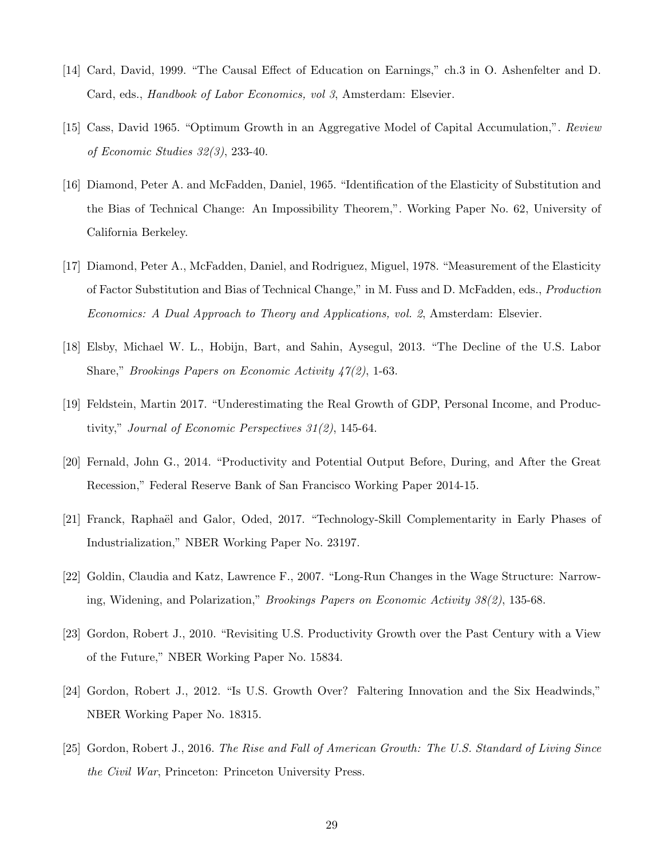- [14] Card, David, 1999. "The Causal Effect of Education on Earnings," ch.3 in O. Ashenfelter and D. Card, eds., Handbook of Labor Economics, vol 3, Amsterdam: Elsevier.
- [15] Cass, David 1965. "Optimum Growth in an Aggregative Model of Capital Accumulation,". Review of Economic Studies 32(3), 233-40.
- [16] Diamond, Peter A. and McFadden, Daniel, 1965. "Identification of the Elasticity of Substitution and the Bias of Technical Change: An Impossibility Theorem,". Working Paper No. 62, University of California Berkeley.
- [17] Diamond, Peter A., McFadden, Daniel, and Rodriguez, Miguel, 1978. "Measurement of the Elasticity of Factor Substitution and Bias of Technical Change," in M. Fuss and D. McFadden, eds., Production Economics: A Dual Approach to Theory and Applications, vol. 2, Amsterdam: Elsevier.
- [18] Elsby, Michael W. L., Hobijn, Bart, and Sahin, Aysegul, 2013. "The Decline of the U.S. Labor Share," Brookings Papers on Economic Activity 47(2), 1-63.
- [19] Feldstein, Martin 2017. "Underestimating the Real Growth of GDP, Personal Income, and Productivity," Journal of Economic Perspectives 31(2), 145-64.
- [20] Fernald, John G., 2014. "Productivity and Potential Output Before, During, and After the Great Recession," Federal Reserve Bank of San Francisco Working Paper 2014-15.
- [21] Franck, Raphaël and Galor, Oded, 2017. "Technology-Skill Complementarity in Early Phases of Industrialization," NBER Working Paper No. 23197.
- [22] Goldin, Claudia and Katz, Lawrence F., 2007. "Long-Run Changes in the Wage Structure: Narrowing, Widening, and Polarization," Brookings Papers on Economic Activity 38(2), 135-68.
- [23] Gordon, Robert J., 2010. "Revisiting U.S. Productivity Growth over the Past Century with a View of the Future," NBER Working Paper No. 15834.
- [24] Gordon, Robert J., 2012. "Is U.S. Growth Over? Faltering Innovation and the Six Headwinds," NBER Working Paper No. 18315.
- [25] Gordon, Robert J., 2016. The Rise and Fall of American Growth: The U.S. Standard of Living Since the Civil War, Princeton: Princeton University Press.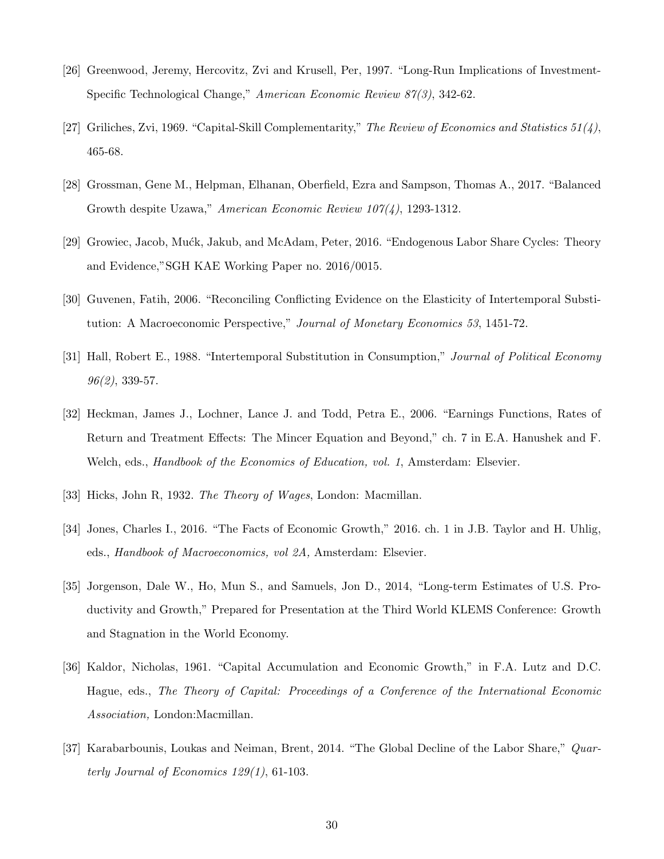- [26] Greenwood, Jeremy, Hercovitz, Zvi and Krusell, Per, 1997. "Long-Run Implications of Investment-Specific Technological Change," American Economic Review 87(3), 342-62.
- [27] Griliches, Zvi, 1969. "Capital-Skill Complementarity," The Review of Economics and Statistics  $51(4)$ , 465-68.
- [28] Grossman, Gene M., Helpman, Elhanan, Oberfield, Ezra and Sampson, Thomas A., 2017. "Balanced Growth despite Uzawa," American Economic Review 107(4), 1293-1312.
- [29] Growiec, Jacob, Mu´ck, Jakub, and McAdam, Peter, 2016. "Endogenous Labor Share Cycles: Theory and Evidence,"SGH KAE Working Paper no. 2016/0015.
- [30] Guvenen, Fatih, 2006. "Reconciling Conflicting Evidence on the Elasticity of Intertemporal Substitution: A Macroeconomic Perspective," Journal of Monetary Economics 53, 1451-72.
- [31] Hall, Robert E., 1988. "Intertemporal Substitution in Consumption," Journal of Political Economy  $96(2)$ , 339-57.
- [32] Heckman, James J., Lochner, Lance J. and Todd, Petra E., 2006. "Earnings Functions, Rates of Return and Treatment Effects: The Mincer Equation and Beyond," ch. 7 in E.A. Hanushek and F. Welch, eds., *Handbook of the Economics of Education, vol. 1*, Amsterdam: Elsevier.
- [33] Hicks, John R, 1932. The Theory of Wages, London: Macmillan.
- [34] Jones, Charles I., 2016. "The Facts of Economic Growth," 2016. ch. 1 in J.B. Taylor and H. Uhlig, eds., Handbook of Macroeconomics, vol 2A, Amsterdam: Elsevier.
- [35] Jorgenson, Dale W., Ho, Mun S., and Samuels, Jon D., 2014, "Long-term Estimates of U.S. Productivity and Growth," Prepared for Presentation at the Third World KLEMS Conference: Growth and Stagnation in the World Economy.
- [36] Kaldor, Nicholas, 1961. "Capital Accumulation and Economic Growth," in F.A. Lutz and D.C. Hague, eds., The Theory of Capital: Proceedings of a Conference of the International Economic Association, London:Macmillan.
- [37] Karabarbounis, Loukas and Neiman, Brent, 2014. "The Global Decline of the Labor Share," Quarterly Journal of Economics 129(1), 61-103.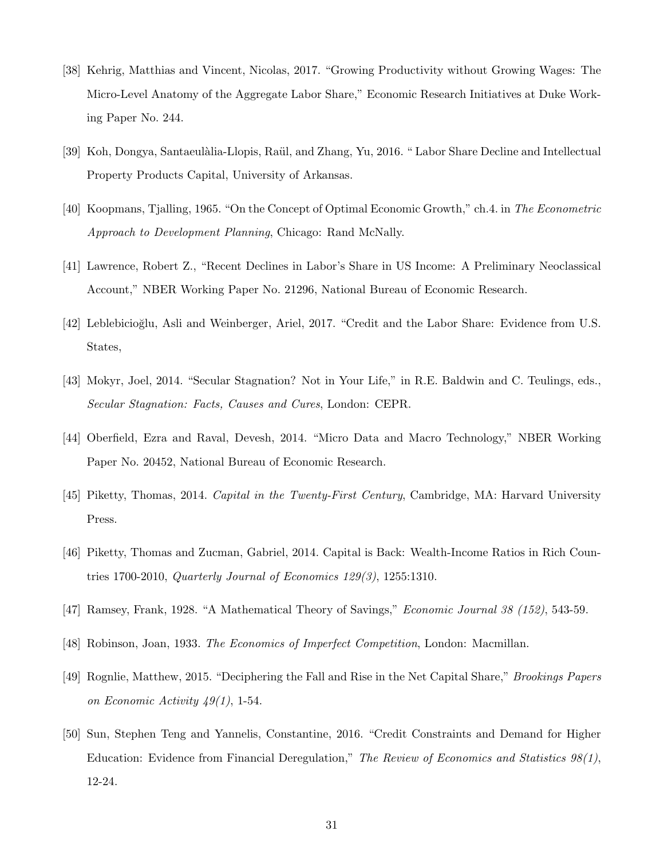- [38] Kehrig, Matthias and Vincent, Nicolas, 2017. "Growing Productivity without Growing Wages: The Micro-Level Anatomy of the Aggregate Labor Share," Economic Research Initiatives at Duke Working Paper No. 244.
- [39] Koh, Dongya, Santaeulàlia-Llopis, Raül, and Zhang, Yu, 2016. " Labor Share Decline and Intellectual Property Products Capital, University of Arkansas.
- [40] Koopmans, Tjalling, 1965. "On the Concept of Optimal Economic Growth," ch.4. in The Econometric Approach to Development Planning, Chicago: Rand McNally.
- [41] Lawrence, Robert Z., "Recent Declines in Labor's Share in US Income: A Preliminary Neoclassical Account," NBER Working Paper No. 21296, National Bureau of Economic Research.
- [42] Leblebicioğlu, Asli and Weinberger, Ariel, 2017. "Credit and the Labor Share: Evidence from U.S. States,
- [43] Mokyr, Joel, 2014. "Secular Stagnation? Not in Your Life," in R.E. Baldwin and C. Teulings, eds., Secular Stagnation: Facts, Causes and Cures, London: CEPR.
- [44] Oberfield, Ezra and Raval, Devesh, 2014. "Micro Data and Macro Technology," NBER Working Paper No. 20452, National Bureau of Economic Research.
- [45] Piketty, Thomas, 2014. Capital in the Twenty-First Century, Cambridge, MA: Harvard University Press.
- [46] Piketty, Thomas and Zucman, Gabriel, 2014. Capital is Back: Wealth-Income Ratios in Rich Countries 1700-2010, Quarterly Journal of Economics 129(3), 1255:1310.
- [47] Ramsey, Frank, 1928. "A Mathematical Theory of Savings," Economic Journal 38 (152), 543-59.
- [48] Robinson, Joan, 1933. The Economics of Imperfect Competition, London: Macmillan.
- [49] Rognlie, Matthew, 2015. "Deciphering the Fall and Rise in the Net Capital Share," Brookings Papers on Economic Activity 49(1), 1-54.
- [50] Sun, Stephen Teng and Yannelis, Constantine, 2016. "Credit Constraints and Demand for Higher Education: Evidence from Financial Deregulation," The Review of Economics and Statistics 98(1), 12-24.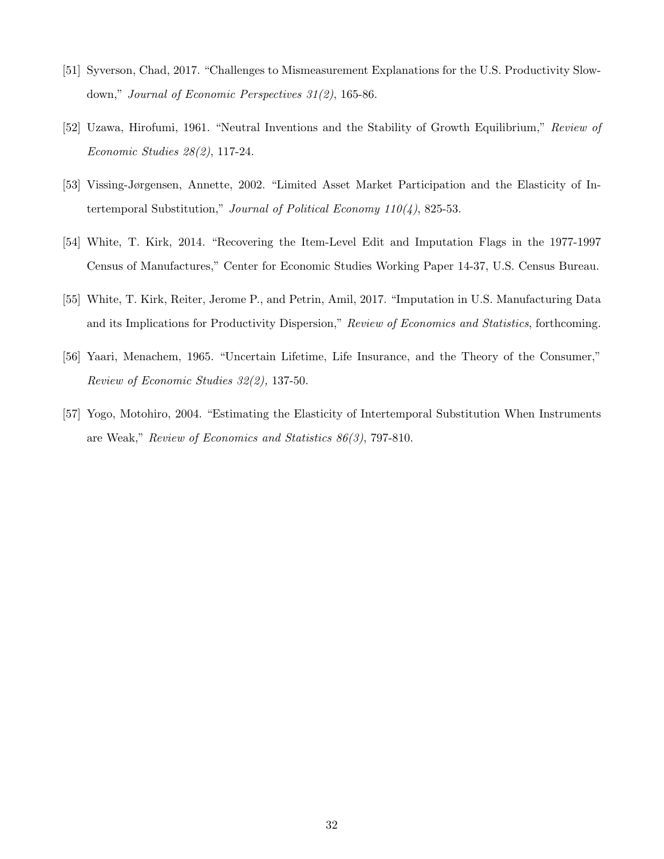- [51] Syverson, Chad, 2017. "Challenges to Mismeasurement Explanations for the U.S. Productivity Slowdown," Journal of Economic Perspectives 31(2), 165-86.
- [52] Uzawa, Hirofumi, 1961. "Neutral Inventions and the Stability of Growth Equilibrium," Review of Economic Studies 28(2), 117-24.
- [53] Vissing-Jørgensen, Annette, 2002. "Limited Asset Market Participation and the Elasticity of Intertemporal Substitution," Journal of Political Economy  $110(4)$ , 825-53.
- [54] White, T. Kirk, 2014. "Recovering the Item-Level Edit and Imputation Flags in the 1977-1997 Census of Manufactures," Center for Economic Studies Working Paper 14-37, U.S. Census Bureau.
- [55] White, T. Kirk, Reiter, Jerome P., and Petrin, Amil, 2017. "Imputation in U.S. Manufacturing Data and its Implications for Productivity Dispersion," Review of Economics and Statistics, forthcoming.
- [56] Yaari, Menachem, 1965. "Uncertain Lifetime, Life Insurance, and the Theory of the Consumer," Review of Economic Studies 32(2), 137-50.
- [57] Yogo, Motohiro, 2004. "Estimating the Elasticity of Intertemporal Substitution When Instruments are Weak," Review of Economics and Statistics 86(3), 797-810.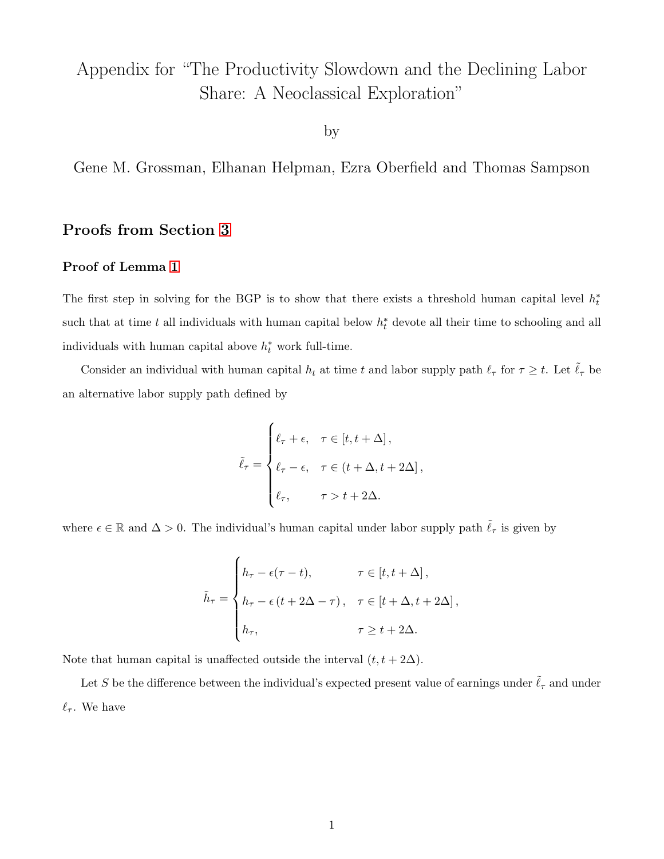# Appendix for "The Productivity Slowdown and the Declining Labor Share: A Neoclassical Exploration"

by

Gene M. Grossman, Elhanan Helpman, Ezra Oberfield and Thomas Sampson

## Proofs from Section [3](#page-10-3)

#### Proof of Lemma [1](#page-12-4)

The first step in solving for the BGP is to show that there exists a threshold human capital level  $h_t^*$ such that at time t all individuals with human capital below  $h_t^*$  devote all their time to schooling and all individuals with human capital above  $h_t^*$  work full-time.

Consider an individual with human capital  $h_t$  at time t and labor supply path  $\ell_\tau$  for  $\tau \geq t$ . Let  $\tilde{\ell}_\tau$  be an alternative labor supply path defined by

$$
\tilde{\ell}_{\tau} = \begin{cases} \ell_{\tau} + \epsilon, & \tau \in [t, t + \Delta], \\ \ell_{\tau} - \epsilon, & \tau \in (t + \Delta, t + 2\Delta], \\ \ell_{\tau}, & \tau > t + 2\Delta. \end{cases}
$$

where  $\epsilon \in \mathbb{R}$  and  $\Delta > 0$ . The individual's human capital under labor supply path  $\tilde{\ell}_{\tau}$  is given by

$$
\tilde{h}_{\tau} = \begin{cases}\nh_{\tau} - \epsilon(\tau - t), & \tau \in [t, t + \Delta], \\
h_{\tau} - \epsilon(t + 2\Delta - \tau), & \tau \in [t + \Delta, t + 2\Delta], \\
h_{\tau}, & \tau \ge t + 2\Delta.\n\end{cases}
$$

Note that human capital is unaffected outside the interval  $(t, t + 2\Delta)$ .

Let S be the difference between the individual's expected present value of earnings under  $\tilde{\ell}_{\tau}$  and under  $\ell_{\tau}$ . We have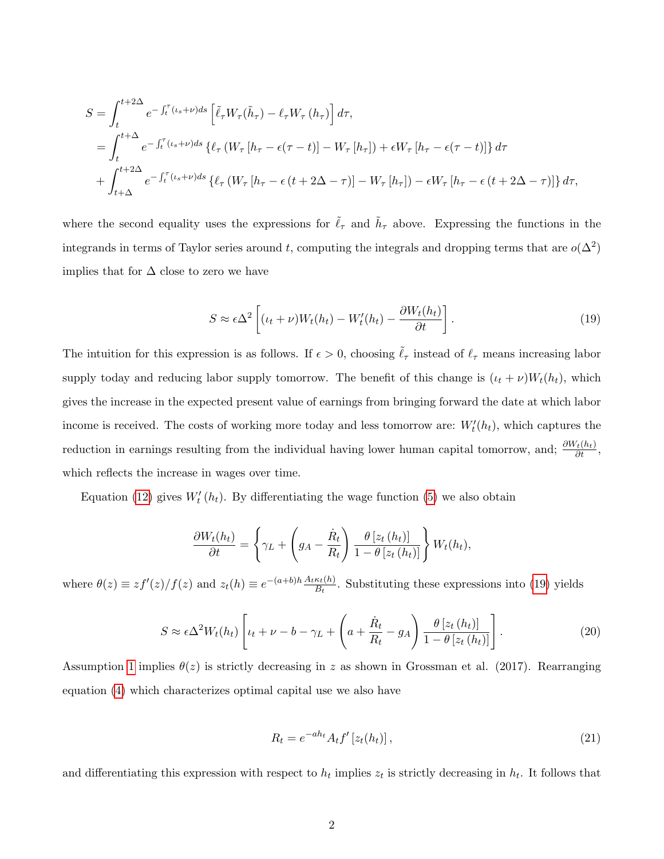$$
S = \int_{t}^{t+2\Delta} e^{-\int_{t}^{\tau} (t_{s}+\nu)ds} \left[ \tilde{\ell}_{\tau} W_{\tau}(\tilde{h}_{\tau}) - \ell_{\tau} W_{\tau} (h_{\tau}) \right] d\tau,
$$
  
\n
$$
= \int_{t}^{t+\Delta} e^{-\int_{t}^{\tau} (t_{s}+\nu)ds} \left\{ \ell_{\tau} \left( W_{\tau} [h_{\tau} - \epsilon(\tau - t)] - W_{\tau} [h_{\tau}] \right) + \epsilon W_{\tau} [h_{\tau} - \epsilon(\tau - t)] \right\} d\tau
$$
  
\n
$$
+ \int_{t+\Delta}^{t+2\Delta} e^{-\int_{t}^{\tau} (t_{s}+\nu)ds} \left\{ \ell_{\tau} \left( W_{\tau} [h_{\tau} - \epsilon(t+2\Delta-\tau)] - W_{\tau} [h_{\tau}] \right) - \epsilon W_{\tau} [h_{\tau} - \epsilon(t+2\Delta-\tau)] \right\} d\tau,
$$

where the second equality uses the expressions for  $\tilde{\ell}_{\tau}$  and  $\tilde{h}_{\tau}$  above. Expressing the functions in the integrands in terms of Taylor series around t, computing the integrals and dropping terms that are  $o(\Delta^2)$ implies that for  $\Delta$  close to zero we have

<span id="page-34-0"></span>
$$
S \approx \epsilon \Delta^2 \left[ (\iota_t + \nu) W_t(h_t) - W'_t(h_t) - \frac{\partial W_t(h_t)}{\partial t} \right].
$$
 (19)

The intuition for this expression is as follows. If  $\epsilon > 0$ , choosing  $\tilde{\ell}_{\tau}$  instead of  $\ell_{\tau}$  means increasing labor supply today and reducing labor supply tomorrow. The benefit of this change is  $(\iota_t + \nu)W_t(h_t)$ , which gives the increase in the expected present value of earnings from bringing forward the date at which labor income is received. The costs of working more today and less tomorrow are:  $W_t'(h_t)$ , which captures the reduction in earnings resulting from the individual having lower human capital tomorrow, and;  $\frac{\partial W_t(h_t)}{\partial t}$ , which reflects the increase in wages over time.

Equation [\(12\)](#page-13-4) gives  $W'_t(h_t)$ . By differentiating the wage function [\(5\)](#page-10-2) we also obtain

$$
\frac{\partial W_t(h_t)}{\partial t} = \left\{ \gamma_L + \left( g_A - \frac{\dot{R}_t}{R_t} \right) \frac{\theta \left[ z_t\left( h_t \right) \right]}{1 - \theta \left[ z_t\left( h_t \right) \right]} \right\} W_t(h_t),
$$

where  $\theta(z) \equiv z f'(z)/f(z)$  and  $z_t(h) \equiv e^{-(a+b)h} \frac{A_t \kappa_t(h)}{B_t}$  $\frac{\kappa_t(n)}{B_t}$ . Substituting these expressions into [\(19\)](#page-34-0) yields

<span id="page-34-1"></span>
$$
S \approx \epsilon \Delta^2 W_t(h_t) \left[ \iota_t + \nu - b - \gamma_L + \left( a + \frac{\dot{R}_t}{R_t} - g_A \right) \frac{\theta \left[ z_t(h_t) \right]}{1 - \theta \left[ z_t(h_t) \right]} \right]. \tag{20}
$$

Assumption [1](#page-9-1) implies  $\theta(z)$  is strictly decreasing in z as shown in Grossman et al. (2017). Rearranging equation [\(4\)](#page-10-1) which characterizes optimal capital use we also have

<span id="page-34-2"></span>
$$
R_t = e^{-ah_t} A_t f'[z_t(h_t)],
$$
\n
$$
(21)
$$

and differentiating this expression with respect to  $h_t$  implies  $z_t$  is strictly decreasing in  $h_t$ . It follows that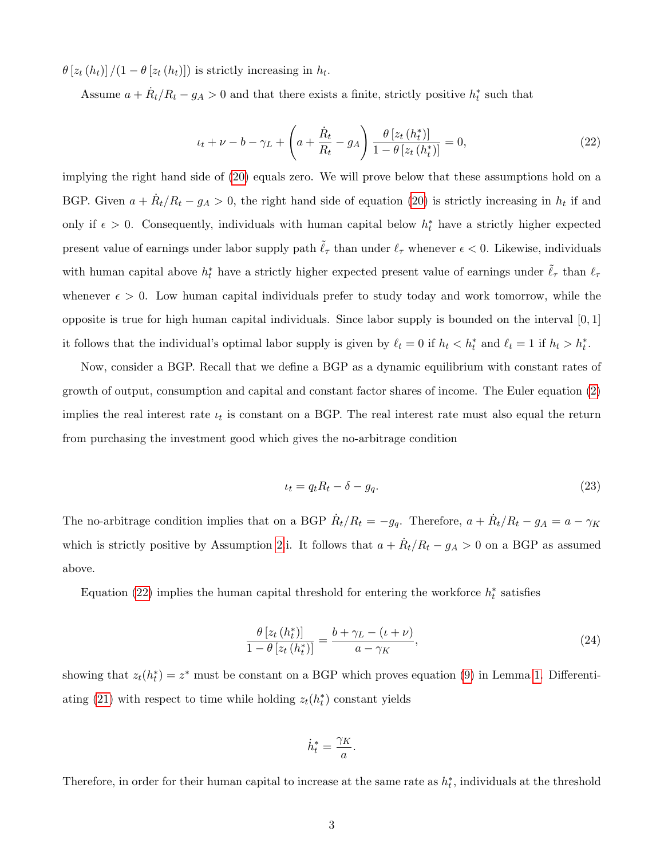$\theta \left[ z_t(h_t) \right] / (1 - \theta \left[ z_t(h_t) \right])$  is strictly increasing in  $h_t$ .

Assume  $a + \dot{R}_t/R_t - g_A > 0$  and that there exists a finite, strictly positive  $h_t^*$  such that

<span id="page-35-0"></span>
$$
\iota_t + \nu - b - \gamma_L + \left( a + \frac{\dot{R}_t}{R_t} - g_A \right) \frac{\theta \left[ z_t \left( h_t^* \right) \right]}{1 - \theta \left[ z_t \left( h_t^* \right) \right]} = 0, \tag{22}
$$

implying the right hand side of [\(20\)](#page-34-1) equals zero. We will prove below that these assumptions hold on a BGP. Given  $a + \dot{R}_t/R_t - g_A > 0$ , the right hand side of equation [\(20\)](#page-34-1) is strictly increasing in  $h_t$  if and only if  $\epsilon > 0$ . Consequently, individuals with human capital below  $h_t^*$  have a strictly higher expected present value of earnings under labor supply path  $\tilde{\ell}_{\tau}$  than under  $\ell_{\tau}$  whenever  $\epsilon < 0$ . Likewise, individuals with human capital above  $h_t^*$  have a strictly higher expected present value of earnings under  $\tilde{\ell}_{\tau}$  than  $\ell_{\tau}$ whenever  $\epsilon > 0$ . Low human capital individuals prefer to study today and work tomorrow, while the opposite is true for high human capital individuals. Since labor supply is bounded on the interval  $[0,1]$ it follows that the individual's optimal labor supply is given by  $\ell_t = 0$  if  $h_t < h_t^*$  and  $\ell_t = 1$  if  $h_t > h_t^*$ .

Now, consider a BGP. Recall that we define a BGP as a dynamic equilibrium with constant rates of growth of output, consumption and capital and constant factor shares of income. The Euler equation [\(2\)](#page-8-3) implies the real interest rate  $\iota_t$  is constant on a BGP. The real interest rate must also equal the return from purchasing the investment good which gives the no-arbitrage condition

<span id="page-35-2"></span>
$$
\iota_t = q_t R_t - \delta - g_q. \tag{23}
$$

The no-arbitrage condition implies that on a BGP  $\dot{R}_t/R_t = -g_q$ . Therefore,  $a + \dot{R}_t/R_t - g_A = a - \gamma_K$ which is strictly positive by Assumption [2.](#page-10-0)i. It follows that  $a + \dot{R}_t/R_t - g_A > 0$  on a BGP as assumed above.

Equation [\(22\)](#page-35-0) implies the human capital threshold for entering the workforce  $h_t^*$  satisfies

<span id="page-35-1"></span>
$$
\frac{\theta \left[ z_t \left( h_t^* \right) \right]}{1 - \theta \left[ z_t \left( h_t^* \right) \right]} = \frac{b + \gamma_L - (\iota + \nu)}{a - \gamma_K},\tag{24}
$$

showing that  $z_t(h_t^*) = z^*$  must be constant on a BGP which proves equation [\(9\)](#page-12-3) in Lemma [1.](#page-12-4) Differenti-ating [\(21\)](#page-34-2) with respect to time while holding  $z_t(h_t^*)$  constant yields

$$
\dot{h}_t^* = \frac{\gamma_K}{a}.
$$

Therefore, in order for their human capital to increase at the same rate as  $h_t^*$ , individuals at the threshold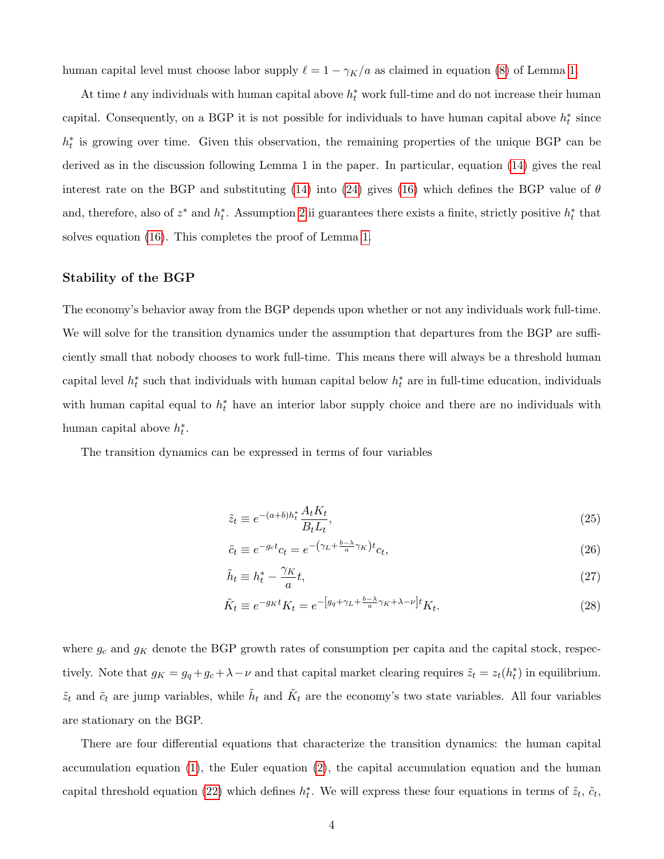human capital level must choose labor supply  $\ell = 1 - \gamma_K/a$  as claimed in equation [\(8\)](#page-12-1) of Lemma [1.](#page-12-4)

At time t any individuals with human capital above  $h_t^*$  work full-time and do not increase their human capital. Consequently, on a BGP it is not possible for individuals to have human capital above  $h_t^*$  since  $h_t^*$  is growing over time. Given this observation, the remaining properties of the unique BGP can be derived as in the discussion following Lemma 1 in the paper. In particular, equation [\(14\)](#page-14-1) gives the real interest rate on the BGP and substituting [\(14\)](#page-14-1) into [\(24\)](#page-35-1) gives [\(16\)](#page-15-0) which defines the BGP value of  $\theta$ and, therefore, also of  $z^*$  and  $h_t^*$ . Assumption [2.](#page-10-0)ii guarantees there exists a finite, strictly positive  $h_t^*$  that solves equation [\(16\)](#page-15-0). This completes the proof of Lemma [1.](#page-12-4)

#### Stability of the BGP

The economy's behavior away from the BGP depends upon whether or not any individuals work full-time. We will solve for the transition dynamics under the assumption that departures from the BGP are sufficiently small that nobody chooses to work full-time. This means there will always be a threshold human capital level  $h_t^*$  such that individuals with human capital below  $h_t^*$  are in full-time education, individuals with human capital equal to  $h_t^*$  have an interior labor supply choice and there are no individuals with human capital above  $h_t^*$ .

The transition dynamics can be expressed in terms of four variables

<span id="page-36-0"></span>
$$
\tilde{z}_t \equiv e^{-(a+b)h_t^*} \frac{A_t K_t}{B_t L_t},\tag{25}
$$

<span id="page-36-2"></span><span id="page-36-1"></span>
$$
\tilde{c}_t \equiv e^{-g_c t} c_t = e^{-\left(\gamma_L + \frac{b - \lambda}{a}\gamma_K\right)t} c_t,\tag{26}
$$

$$
\tilde{h}_t \equiv h_t^* - \frac{\gamma_K}{a} t,\tag{27}
$$

$$
\tilde{K}_t \equiv e^{-g_K t} K_t = e^{-\left[g_q + \gamma_L + \frac{b-\lambda}{a}\gamma_K + \lambda - \nu\right]t} K_t.
$$
\n(28)

where  $g_c$  and  $g_K$  denote the BGP growth rates of consumption per capita and the capital stock, respectively. Note that  $g_K = g_q + g_c + \lambda - \nu$  and that capital market clearing requires  $\tilde{z}_t = z_t(h_t^*)$  in equilibrium.  $\tilde{z}_t$  and  $\tilde{c}_t$  are jump variables, while  $\tilde{h}_t$  and  $\tilde{K}_t$  are the economy's two state variables. All four variables are stationary on the BGP.

There are four differential equations that characterize the transition dynamics: the human capital accumulation equation [\(1\)](#page-8-4), the Euler equation [\(2\)](#page-8-3), the capital accumulation equation and the human capital threshold equation [\(22\)](#page-35-0) which defines  $h_t^*$ . We will express these four equations in terms of  $\tilde{z}_t$ ,  $\tilde{c}_t$ ,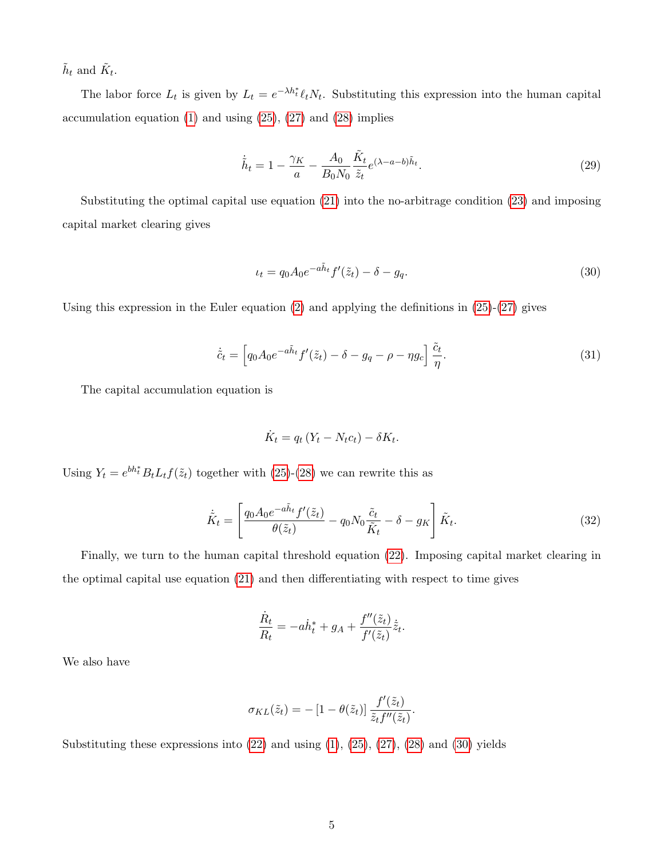$\tilde{h}_t$  and  $\tilde{K}_t$ .

The labor force  $L_t$  is given by  $L_t = e^{-\lambda h_t^*} \ell_t N_t$ . Substituting this expression into the human capital accumulation equation  $(1)$  and using  $(25)$ ,  $(27)$  and  $(28)$  implies

<span id="page-37-1"></span>
$$
\dot{\tilde{h}}_t = 1 - \frac{\gamma_K}{a} - \frac{A_0}{B_0 N_0} \frac{\tilde{K}_t}{\tilde{z}_t} e^{(\lambda - a - b)\tilde{h}_t}.
$$
\n(29)

Substituting the optimal capital use equation [\(21\)](#page-34-2) into the no-arbitrage condition [\(23\)](#page-35-2) and imposing capital market clearing gives

<span id="page-37-0"></span>
$$
\iota_t = q_0 A_0 e^{-a \tilde{h}_t} f'(\tilde{z}_t) - \delta - g_q. \tag{30}
$$

Using this expression in the Euler equation  $(2)$  and applying the definitions in  $(25)-(27)$  $(25)-(27)$  $(25)-(27)$  gives

<span id="page-37-2"></span>
$$
\dot{\tilde{c}}_t = \left[ q_0 A_0 e^{-a \tilde{h}_t} f'(\tilde{z}_t) - \delta - g_q - \rho - \eta g_c \right] \frac{\tilde{c}_t}{\eta}.
$$
\n(31)

The capital accumulation equation is

$$
\dot{K}_t = q_t (Y_t - N_t c_t) - \delta K_t.
$$

Using  $Y_t = e^{bh_t^*} B_t L_t f(\tilde{z}_t)$  together with [\(25\)](#page-36-0)-[\(28\)](#page-36-2) we can rewrite this as

<span id="page-37-3"></span>
$$
\dot{\tilde{K}}_t = \left[ \frac{q_0 A_0 e^{-a \tilde{h}_t} f'(\tilde{z}_t)}{\theta(\tilde{z}_t)} - q_0 N_0 \frac{\tilde{c}_t}{\tilde{K}_t} - \delta - g_K \right] \tilde{K}_t.
$$
\n(32)

Finally, we turn to the human capital threshold equation [\(22\)](#page-35-0). Imposing capital market clearing in the optimal capital use equation [\(21\)](#page-34-2) and then differentiating with respect to time gives

$$
\frac{\dot{R}_t}{R_t} = -a\dot{h}_t^* + g_A + \frac{f''(\tilde{z}_t)}{f'(\tilde{z}_t)}\dot{\tilde{z}}_t.
$$

We also have

$$
\sigma_{KL}(\tilde{z}_t) = -[1 - \theta(\tilde{z}_t)] \frac{f'(\tilde{z}_t)}{\tilde{z}_t f''(\tilde{z}_t)}.
$$

Substituting these expressions into  $(22)$  and using  $(1)$ ,  $(25)$ ,  $(27)$ ,  $(28)$  and  $(30)$  yields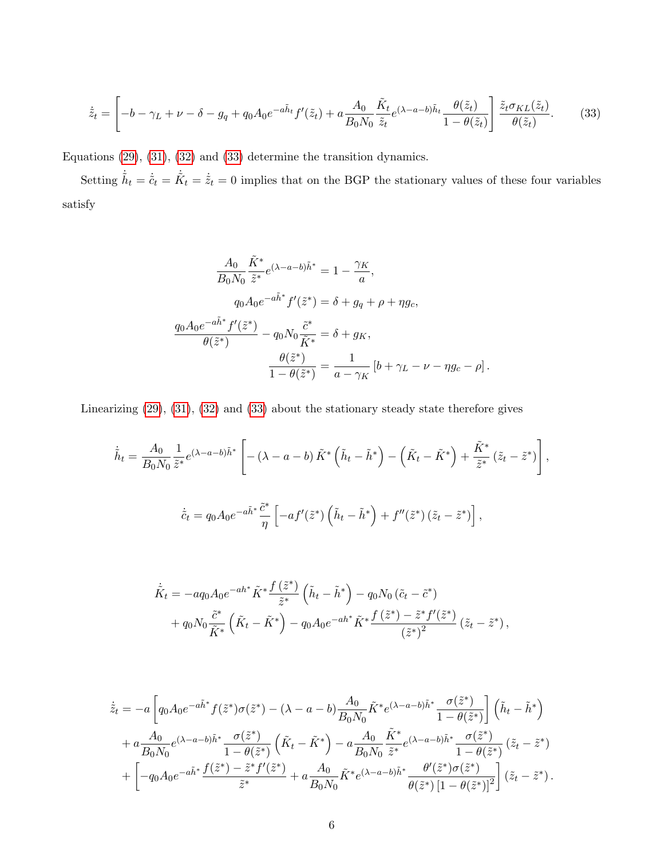<span id="page-38-0"></span>
$$
\dot{\tilde{z}}_t = \left[ -b - \gamma_L + \nu - \delta - g_q + q_0 A_0 e^{-a \tilde{h}_t} f'(\tilde{z}_t) + a \frac{A_0}{B_0 N_0} \frac{\tilde{K}_t}{\tilde{z}_t} e^{(\lambda - a - b) \tilde{h}_t} \frac{\theta(\tilde{z}_t)}{1 - \theta(\tilde{z}_t)} \right] \frac{\tilde{z}_t \sigma_{KL}(\tilde{z}_t)}{\theta(\tilde{z}_t)}.
$$
(33)

Equations [\(29\)](#page-37-1), [\(31\)](#page-37-2), [\(32\)](#page-37-3) and [\(33\)](#page-38-0) determine the transition dynamics.

Setting  $\dot{\tilde{h}}_t = \dot{\tilde{c}}_t = \dot{\tilde{K}}_t = \dot{\tilde{\tilde{\chi}}}_t = 0$  implies that on the BGP the stationary values of these four variables satisfy

$$
\frac{A_0}{B_0 N_0} \frac{\tilde{K}^*}{\tilde{z}^*} e^{(\lambda - a - b)\tilde{h}^*} = 1 - \frac{\gamma_K}{a},
$$
  
\n
$$
q_0 A_0 e^{-a\tilde{h}^*} f'(\tilde{z}^*) = \delta + g_q + \rho + \eta g_c,
$$
  
\n
$$
\frac{q_0 A_0 e^{-a\tilde{h}^*} f'(\tilde{z}^*)}{\theta(\tilde{z}^*)} - q_0 N_0 \frac{\tilde{c}^*}{\tilde{K}^*} = \delta + g_K,
$$
  
\n
$$
\frac{\theta(\tilde{z}^*)}{1 - \theta(\tilde{z}^*)} = \frac{1}{a - \gamma_K} \left[ b + \gamma_L - \nu - \eta g_c - \rho \right].
$$

Linearizing [\(29\)](#page-37-1), [\(31\)](#page-37-2), [\(32\)](#page-37-3) and [\(33\)](#page-38-0) about the stationary steady state therefore gives

$$
\dot{\tilde{h}}_t = \frac{A_0}{B_0 N_0} \frac{1}{\tilde{z}^*} e^{(\lambda - a - b)\tilde{h}^*} \left[ -(\lambda - a - b) \tilde{K}^* \left( \tilde{h}_t - \tilde{h}^* \right) - \left( \tilde{K}_t - \tilde{K}^* \right) + \frac{\tilde{K}^*}{\tilde{z}^*} \left( \tilde{z}_t - \tilde{z}^* \right) \right],
$$
  

$$
\dot{\tilde{c}}_t = q_0 A_0 e^{-a\tilde{h}^*} \frac{\tilde{c}^*}{\eta} \left[ -af'(\tilde{z}^*) \left( \tilde{h}_t - \tilde{h}^* \right) + f''(\tilde{z}^*) \left( \tilde{z}_t - \tilde{z}^* \right) \right],
$$

$$
\dot{\tilde{K}}_t = -a q_0 A_0 e^{-ah^*} \tilde{K}^* \frac{f(\tilde{z}^*)}{\tilde{z}^*} \left( \tilde{h}_t - \tilde{h}^* \right) - q_0 N_0 \left( \tilde{c}_t - \tilde{c}^* \right) \n+ q_0 N_0 \frac{\tilde{c}^*}{\tilde{K}^*} \left( \tilde{K}_t - \tilde{K}^* \right) - q_0 A_0 e^{-ah^*} \tilde{K}^* \frac{f(\tilde{z}^*) - \tilde{z}^* f'(\tilde{z}^*)}{\left(\tilde{z}^*\right)^2} \left( \tilde{z}_t - \tilde{z}^* \right),
$$

$$
\dot{\tilde{z}}_t = -a \left[ q_0 A_0 e^{-a\tilde{h}^*} f(\tilde{z}^*) \sigma(\tilde{z}^*) - (\lambda - a - b) \frac{A_0}{B_0 N_0} \tilde{K}^* e^{(\lambda - a - b)\tilde{h}^*} \frac{\sigma(\tilde{z}^*)}{1 - \theta(\tilde{z}^*)} \right] \left( \tilde{h}_t - \tilde{h}^* \right) \n+ a \frac{A_0}{B_0 N_0} e^{(\lambda - a - b)\tilde{h}^*} \frac{\sigma(\tilde{z}^*)}{1 - \theta(\tilde{z}^*)} \left( \tilde{K}_t - \tilde{K}^* \right) - a \frac{A_0}{B_0 N_0} \frac{\tilde{K}^*}{\tilde{z}^*} e^{(\lambda - a - b)\tilde{h}^*} \frac{\sigma(\tilde{z}^*)}{1 - \theta(\tilde{z}^*)} \left( \tilde{z}_t - \tilde{z}^* \right) \n+ \left[ -q_0 A_0 e^{-a\tilde{h}^*} \frac{f(\tilde{z}^*) - \tilde{z}^* f'(\tilde{z}^*)}{\tilde{z}^*} + a \frac{A_0}{B_0 N_0} \tilde{K}^* e^{(\lambda - a - b)\tilde{h}^*} \frac{\theta'(\tilde{z}^*) \sigma(\tilde{z}^*)}{\theta(\tilde{z}^*) \left[ 1 - \theta(\tilde{z}^*) \right]^2} \right] (\tilde{z}_t - \tilde{z}^*).
$$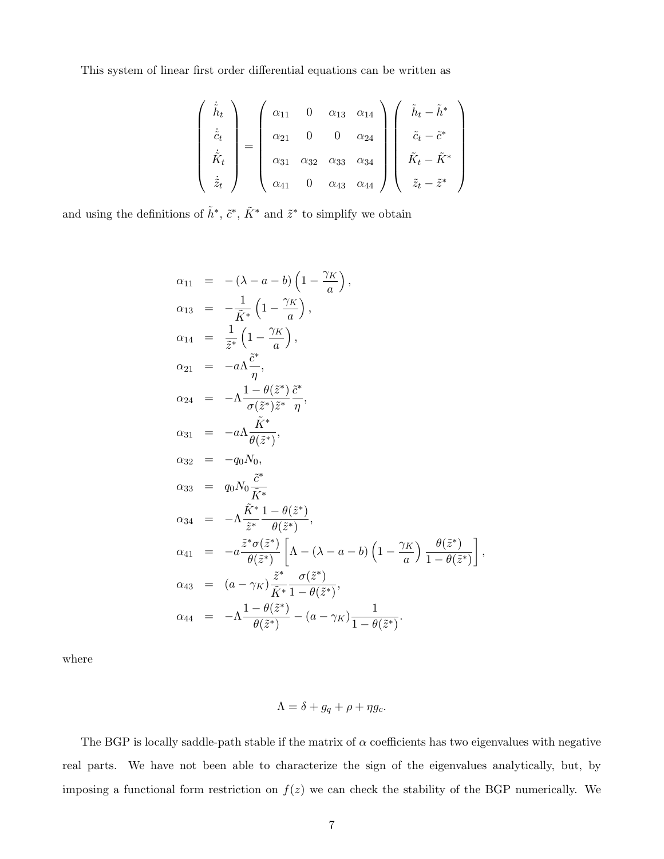This system of linear first order differential equations can be written as

$$
\begin{pmatrix}\n\dot{\tilde{h}}_t \\
\dot{\tilde{c}}_t \\
\dot{\tilde{K}}_t \\
\dot{\tilde{z}}_t\n\end{pmatrix} = \begin{pmatrix}\n\alpha_{11} & 0 & \alpha_{13} & \alpha_{14} \\
\alpha_{21} & 0 & 0 & \alpha_{24} \\
\alpha_{31} & \alpha_{32} & \alpha_{33} & \alpha_{34} \\
\alpha_{41} & 0 & \alpha_{43} & \alpha_{44}\n\end{pmatrix} \begin{pmatrix}\n\tilde{h}_t - \tilde{h}^* \\
\tilde{c}_t - \tilde{c}^* \\
\tilde{K}_t - \tilde{K}^* \\
\tilde{z}_t - \tilde{z}^*\n\end{pmatrix}
$$

and using the definitions of  $\tilde{h}^*, \tilde{c}^*, \tilde{K}^*$  and  $\tilde{z}^*$  to simplify we obtain

$$
\alpha_{11} = -(\lambda - a - b) \left(1 - \frac{\gamma_K}{a}\right),
$$
\n
$$
\alpha_{13} = -\frac{1}{\tilde{K}^*} \left(1 - \frac{\gamma_K}{a}\right),
$$
\n
$$
\alpha_{14} = \frac{1}{\tilde{z}^*} \left(1 - \frac{\gamma_K}{a}\right),
$$
\n
$$
\alpha_{21} = -a\Lambda \frac{\tilde{c}^*}{\eta},
$$
\n
$$
\alpha_{24} = -\Lambda \frac{1 - \theta(\tilde{z}^*) \tilde{c}^*}{\sigma(\tilde{z}^*) \tilde{z}^*} \frac{\tilde{c}^*}{\eta},
$$
\n
$$
\alpha_{31} = -a\Lambda \frac{\tilde{K}^*}{\theta(\tilde{z}^*)},
$$
\n
$$
\alpha_{32} = -q_0 N_0,
$$
\n
$$
\alpha_{33} = q_0 N_0 \frac{\tilde{c}^*}{\tilde{K}^*},
$$
\n
$$
\alpha_{34} = -\Lambda \frac{\tilde{K}^* 1 - \theta(\tilde{z}^*)}{\tilde{z}^*} \frac{\theta(\tilde{z}^*)}{\theta(\tilde{z}^*)},
$$
\n
$$
\alpha_{41} = -a \frac{\tilde{z}^* \sigma(\tilde{z}^*)}{\theta(\tilde{z}^*)} \left[\Lambda - (\lambda - a - b) \left(1 - \frac{\gamma_K}{a}\right) \frac{\theta(\tilde{z}^*)}{1 - \theta(\tilde{z}^*)}\right],
$$
\n
$$
\alpha_{43} = (a - \gamma_K) \frac{\tilde{z}^*}{\tilde{K}^*} \frac{\sigma(\tilde{z}^*)}{1 - \theta(\tilde{z}^*)},
$$
\n
$$
\alpha_{44} = -\Lambda \frac{1 - \theta(\tilde{z}^*)}{\theta(\tilde{z}^*)} - (a - \gamma_K) \frac{1}{1 - \theta(\tilde{z}^*)}.
$$

where

$$
\Lambda = \delta + g_q + \rho + \eta g_c.
$$

The BGP is locally saddle-path stable if the matrix of  $\alpha$  coefficients has two eigenvalues with negative real parts. We have not been able to characterize the sign of the eigenvalues analytically, but, by imposing a functional form restriction on  $f(z)$  we can check the stability of the BGP numerically. We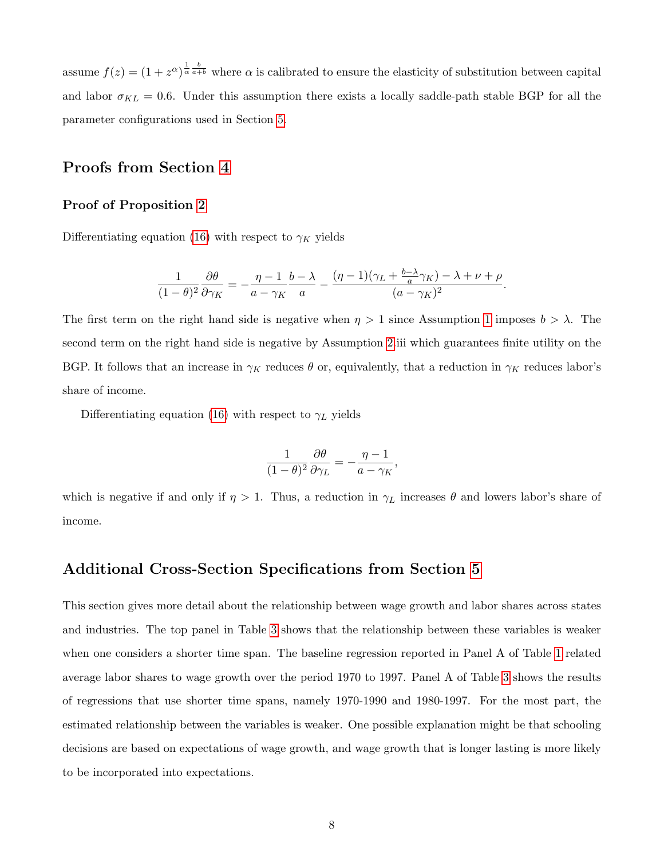assume  $f(z) = (1 + z^{\alpha})^{\frac{1}{\alpha} \frac{b}{a+b}}$  where  $\alpha$  is calibrated to ensure the elasticity of substitution between capital and labor  $\sigma_{KL} = 0.6$ . Under this assumption there exists a locally saddle-path stable BGP for all the parameter configurations used in Section [5.](#page-17-1)

# Proofs from Section [4](#page-15-1)

#### Proof of Proposition [2](#page-15-2)

Differentiating equation [\(16\)](#page-15-0) with respect to  $\gamma_K$  yields

$$
\frac{1}{(1-\theta)^2}\frac{\partial\theta}{\partial\gamma_K}=-\frac{\eta-1}{a-\gamma_K}\frac{b-\lambda}{a}-\frac{(\eta-1)(\gamma_L+\frac{b-\lambda}{a}\gamma_K)-\lambda+\nu+\rho}{(a-\gamma_K)^2}.
$$

The first term on the right hand side is negative when  $\eta > 1$  $\eta > 1$  since Assumption 1 imposes  $b > \lambda$ . The second term on the right hand side is negative by Assumption [2.](#page-10-0)iii which guarantees finite utility on the BGP. It follows that an increase in  $\gamma_K$  reduces  $\theta$  or, equivalently, that a reduction in  $\gamma_K$  reduces labor's share of income.

Differentiating equation [\(16\)](#page-15-0) with respect to  $\gamma_L$  yields

$$
\frac{1}{(1-\theta)^2} \frac{\partial \theta}{\partial \gamma_L} = -\frac{\eta - 1}{a - \gamma_K},
$$

which is negative if and only if  $\eta > 1$ . Thus, a reduction in  $\gamma_L$  increases  $\theta$  and lowers labor's share of income.

# Additional Cross-Section Specifications from Section [5](#page-17-1)

This section gives more detail about the relationship between wage growth and labor shares across states and industries. The top panel in Table [3](#page-42-0) shows that the relationship between these variables is weaker when one considers a shorter time span. The baseline regression reported in Panel A of Table [1](#page-23-0) related average labor shares to wage growth over the period 1970 to 1997. Panel A of Table [3](#page-42-0) shows the results of regressions that use shorter time spans, namely 1970-1990 and 1980-1997. For the most part, the estimated relationship between the variables is weaker. One possible explanation might be that schooling decisions are based on expectations of wage growth, and wage growth that is longer lasting is more likely to be incorporated into expectations.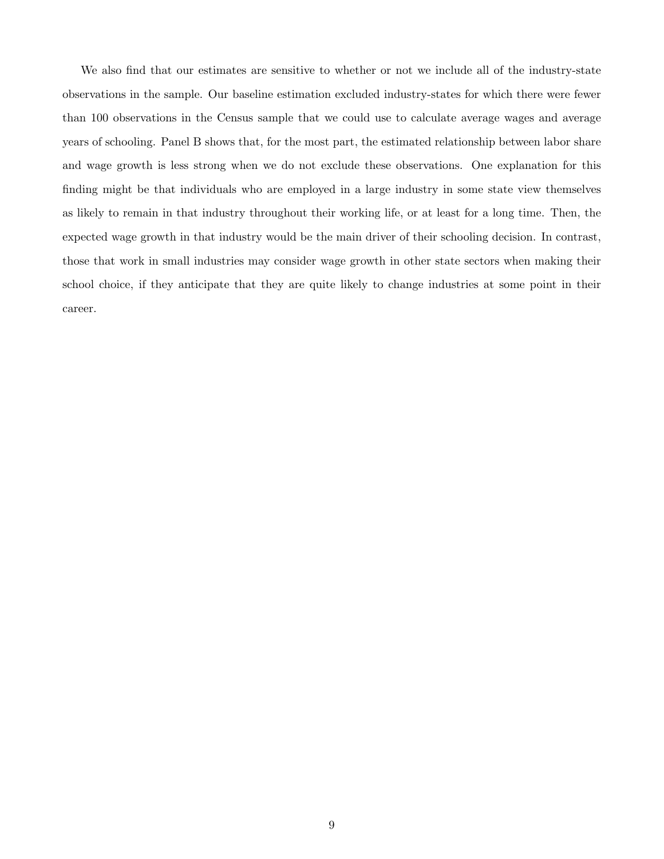We also find that our estimates are sensitive to whether or not we include all of the industry-state observations in the sample. Our baseline estimation excluded industry-states for which there were fewer than 100 observations in the Census sample that we could use to calculate average wages and average years of schooling. Panel B shows that, for the most part, the estimated relationship between labor share and wage growth is less strong when we do not exclude these observations. One explanation for this finding might be that individuals who are employed in a large industry in some state view themselves as likely to remain in that industry throughout their working life, or at least for a long time. Then, the expected wage growth in that industry would be the main driver of their schooling decision. In contrast, those that work in small industries may consider wage growth in other state sectors when making their school choice, if they anticipate that they are quite likely to change industries at some point in their career.